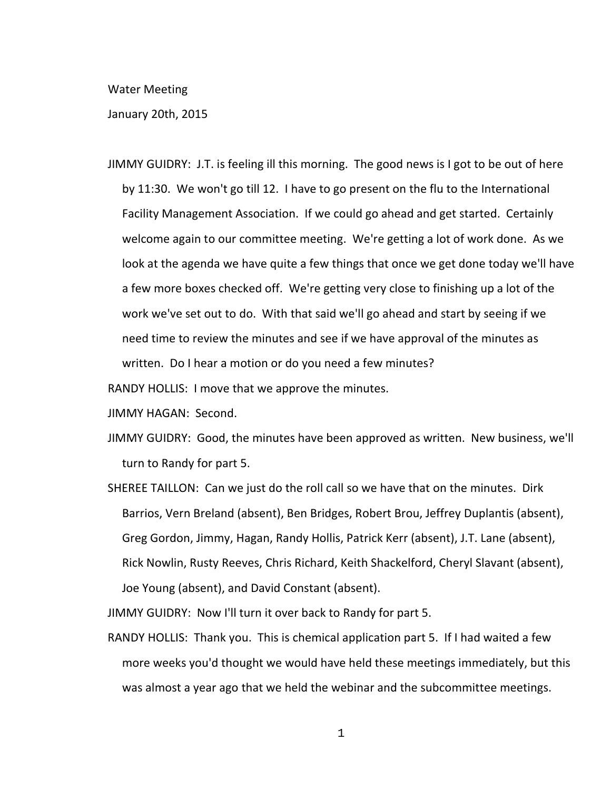## Water Meeting

## January 20th, 2015

JIMMY GUIDRY: J.T. is feeling ill this morning. The good news is I got to be out of here by 11:30. We won't go till 12. I have to go present on the flu to the International Facility Management Association. If we could go ahead and get started. Certainly welcome again to our committee meeting. We're getting a lot of work done. As we look at the agenda we have quite a few things that once we get done today we'll have a few more boxes checked off. We're getting very close to finishing up a lot of the work we've set out to do. With that said we'll go ahead and start by seeing if we need time to review the minutes and see if we have approval of the minutes as written. Do I hear a motion or do you need a few minutes?

RANDY HOLLIS: I move that we approve the minutes.

- JIMMY HAGAN: Second.
- JIMMY GUIDRY: Good, the minutes have been approved as written. New business, we'll turn to Randy for part 5.
- SHEREE TAILLON: Can we just do the roll call so we have that on the minutes. Dirk Barrios, Vern Breland (absent), Ben Bridges, Robert Brou, Jeffrey Duplantis (absent), Greg Gordon, Jimmy, Hagan, Randy Hollis, Patrick Kerr (absent), J.T. Lane (absent), Rick Nowlin, Rusty Reeves, Chris Richard, Keith Shackelford, Cheryl Slavant (absent), Joe Young (absent), and David Constant (absent).

JIMMY GUIDRY: Now I'll turn it over back to Randy for part 5.

RANDY HOLLIS: Thank you. This is chemical application part 5. If I had waited a few more weeks you'd thought we would have held these meetings immediately, but this was almost a year ago that we held the webinar and the subcommittee meetings.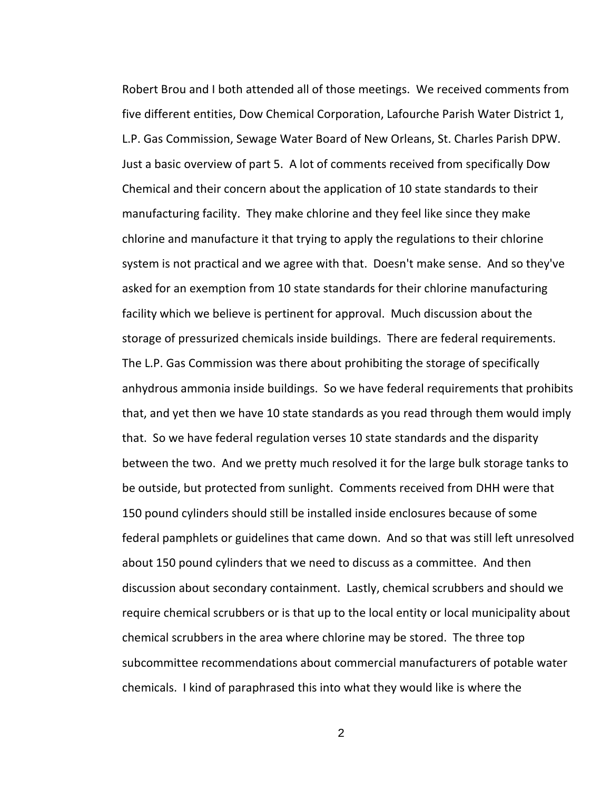Robert Brou and I both attended all of those meetings. We received comments from five different entities, Dow Chemical Corporation, Lafourche Parish Water District 1, L.P. Gas Commission, Sewage Water Board of New Orleans, St. Charles Parish DPW. Just a basic overview of part 5. A lot of comments received from specifically Dow Chemical and their concern about the application of 10 state standards to their manufacturing facility. They make chlorine and they feel like since they make chlorine and manufacture it that trying to apply the regulations to their chlorine system is not practical and we agree with that. Doesn't make sense. And so they've asked for an exemption from 10 state standards for their chlorine manufacturing facility which we believe is pertinent for approval. Much discussion about the storage of pressurized chemicals inside buildings. There are federal requirements. The L.P. Gas Commission was there about prohibiting the storage of specifically anhydrous ammonia inside buildings. So we have federal requirements that prohibits that, and yet then we have 10 state standards as you read through them would imply that. So we have federal regulation verses 10 state standards and the disparity between the two. And we pretty much resolved it for the large bulk storage tanks to be outside, but protected from sunlight. Comments received from DHH were that 150 pound cylinders should still be installed inside enclosures because of some federal pamphlets or guidelines that came down. And so that was still left unresolved about 150 pound cylinders that we need to discuss as a committee. And then discussion about secondary containment. Lastly, chemical scrubbers and should we require chemical scrubbers or is that up to the local entity or local municipality about chemical scrubbers in the area where chlorine may be stored. The three top subcommittee recommendations about commercial manufacturers of potable water chemicals. I kind of paraphrased this into what they would like is where the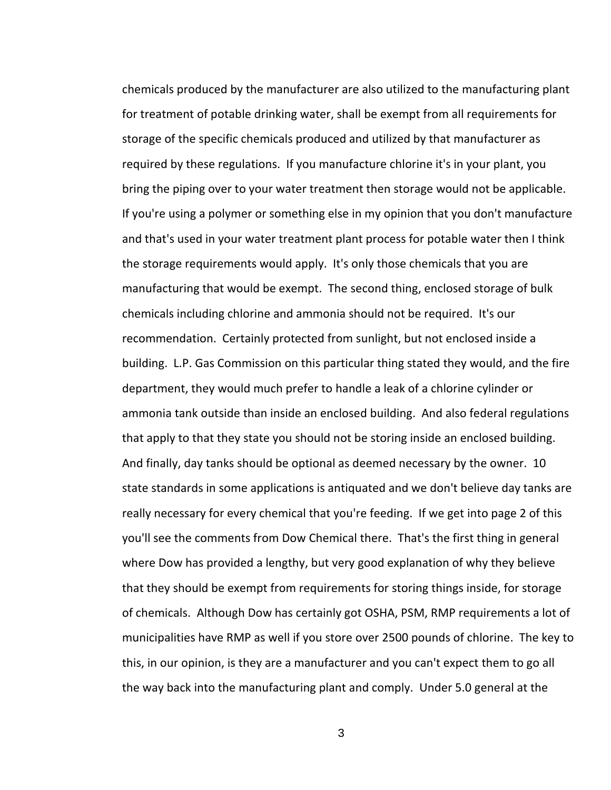chemicals produced by the manufacturer are also utilized to the manufacturing plant for treatment of potable drinking water, shall be exempt from all requirements for storage of the specific chemicals produced and utilized by that manufacturer as required by these regulations. If you manufacture chlorine it's in your plant, you bring the piping over to your water treatment then storage would not be applicable. If you're using a polymer or something else in my opinion that you don't manufacture and that's used in your water treatment plant process for potable water then I think the storage requirements would apply. It's only those chemicals that you are manufacturing that would be exempt. The second thing, enclosed storage of bulk chemicals including chlorine and ammonia should not be required. It's our recommendation. Certainly protected from sunlight, but not enclosed inside a building. L.P. Gas Commission on this particular thing stated they would, and the fire department, they would much prefer to handle a leak of a chlorine cylinder or ammonia tank outside than inside an enclosed building. And also federal regulations that apply to that they state you should not be storing inside an enclosed building. And finally, day tanks should be optional as deemed necessary by the owner. 10 state standards in some applications is antiquated and we don't believe day tanks are really necessary for every chemical that you're feeding. If we get into page 2 of this you'll see the comments from Dow Chemical there. That's the first thing in general where Dow has provided a lengthy, but very good explanation of why they believe that they should be exempt from requirements for storing things inside, for storage of chemicals. Although Dow has certainly got OSHA, PSM, RMP requirements a lot of municipalities have RMP as well if you store over 2500 pounds of chlorine. The key to this, in our opinion, is they are a manufacturer and you can't expect them to go all the way back into the manufacturing plant and comply. Under 5.0 general at the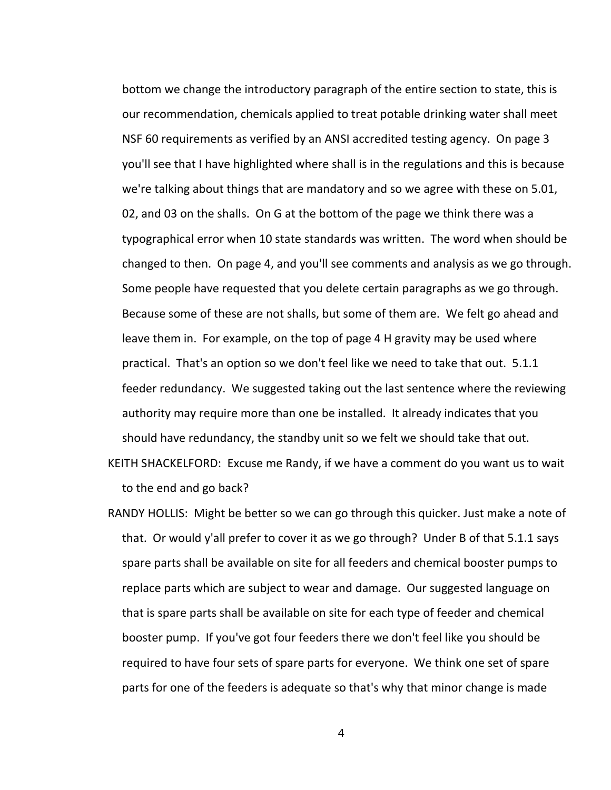bottom we change the introductory paragraph of the entire section to state, this is our recommendation, chemicals applied to treat potable drinking water shall meet NSF 60 requirements as verified by an ANSI accredited testing agency. On page 3 you'll see that I have highlighted where shall is in the regulations and this is because we're talking about things that are mandatory and so we agree with these on 5.01, 02, and 03 on the shalls. On G at the bottom of the page we think there was a typographical error when 10 state standards was written. The word when should be changed to then. On page 4, and you'll see comments and analysis as we go through. Some people have requested that you delete certain paragraphs as we go through. Because some of these are not shalls, but some of them are. We felt go ahead and leave them in. For example, on the top of page 4 H gravity may be used where practical. That's an option so we don't feel like we need to take that out. 5.1.1 feeder redundancy. We suggested taking out the last sentence where the reviewing authority may require more than one be installed. It already indicates that you should have redundancy, the standby unit so we felt we should take that out.

KEITH SHACKELFORD: Excuse me Randy, if we have a comment do you want us to wait to the end and go back?

RANDY HOLLIS: Might be better so we can go through this quicker. Just make a note of that. Or would y'all prefer to cover it as we go through? Under B of that 5.1.1 says spare parts shall be available on site for all feeders and chemical booster pumps to replace parts which are subject to wear and damage. Our suggested language on that is spare parts shall be available on site for each type of feeder and chemical booster pump. If you've got four feeders there we don't feel like you should be required to have four sets of spare parts for everyone. We think one set of spare parts for one of the feeders is adequate so that's why that minor change is made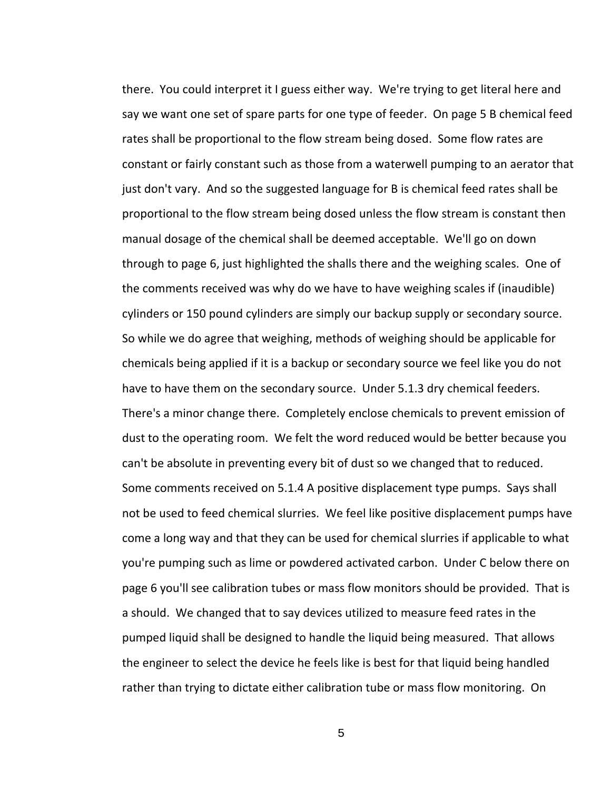there. You could interpret it I guess either way. We're trying to get literal here and say we want one set of spare parts for one type of feeder. On page 5 B chemical feed rates shall be proportional to the flow stream being dosed. Some flow rates are constant or fairly constant such as those from a waterwell pumping to an aerator that just don't vary. And so the suggested language for B is chemical feed rates shall be proportional to the flow stream being dosed unless the flow stream is constant then manual dosage of the chemical shall be deemed acceptable. We'll go on down through to page 6, just highlighted the shalls there and the weighing scales. One of the comments received was why do we have to have weighing scales if (inaudible) cylinders or 150 pound cylinders are simply our backup supply or secondary source. So while we do agree that weighing, methods of weighing should be applicable for chemicals being applied if it is a backup or secondary source we feel like you do not have to have them on the secondary source. Under 5.1.3 dry chemical feeders. There's a minor change there. Completely enclose chemicals to prevent emission of dust to the operating room. We felt the word reduced would be better because you can't be absolute in preventing every bit of dust so we changed that to reduced. Some comments received on 5.1.4 A positive displacement type pumps. Says shall not be used to feed chemical slurries. We feel like positive displacement pumps have come a long way and that they can be used for chemical slurries if applicable to what you're pumping such as lime or powdered activated carbon. Under C below there on page 6 you'll see calibration tubes or mass flow monitors should be provided. That is a should. We changed that to say devices utilized to measure feed rates in the pumped liquid shall be designed to handle the liquid being measured. That allows the engineer to select the device he feels like is best for that liquid being handled rather than trying to dictate either calibration tube or mass flow monitoring. On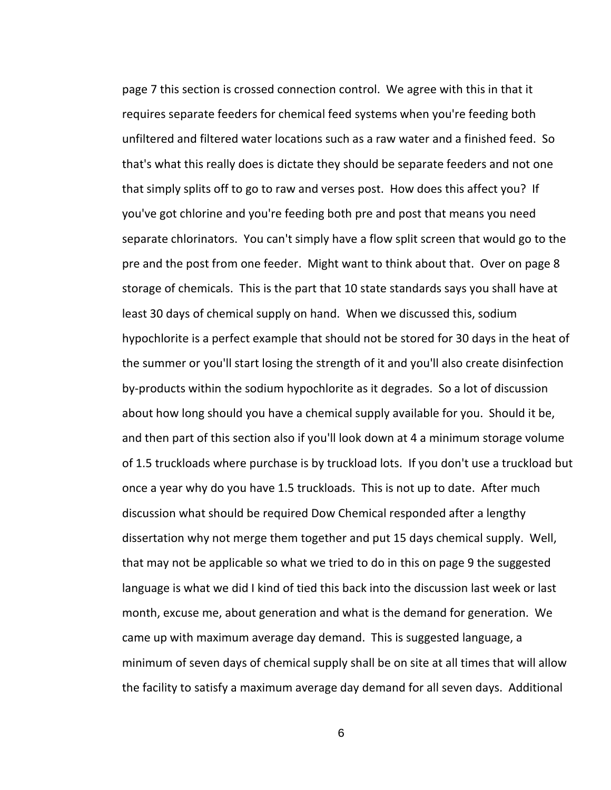page 7 this section is crossed connection control. We agree with this in that it requires separate feeders for chemical feed systems when you're feeding both unfiltered and filtered water locations such as a raw water and a finished feed. So that's what this really does is dictate they should be separate feeders and not one that simply splits off to go to raw and verses post. How does this affect you? If you've got chlorine and you're feeding both pre and post that means you need separate chlorinators. You can't simply have a flow split screen that would go to the pre and the post from one feeder. Might want to think about that. Over on page 8 storage of chemicals. This is the part that 10 state standards says you shall have at least 30 days of chemical supply on hand. When we discussed this, sodium hypochlorite is a perfect example that should not be stored for 30 days in the heat of the summer or you'll start losing the strength of it and you'll also create disinfection by-products within the sodium hypochlorite as it degrades. So a lot of discussion about how long should you have a chemical supply available for you. Should it be, and then part of this section also if you'll look down at 4 a minimum storage volume of 1.5 truckloads where purchase is by truckload lots. If you don't use a truckload but once a year why do you have 1.5 truckloads. This is not up to date. After much discussion what should be required Dow Chemical responded after a lengthy dissertation why not merge them together and put 15 days chemical supply. Well, that may not be applicable so what we tried to do in this on page 9 the suggested language is what we did I kind of tied this back into the discussion last week or last month, excuse me, about generation and what is the demand for generation. We came up with maximum average day demand. This is suggested language, a minimum of seven days of chemical supply shall be on site at all times that will allow the facility to satisfy a maximum average day demand for all seven days. Additional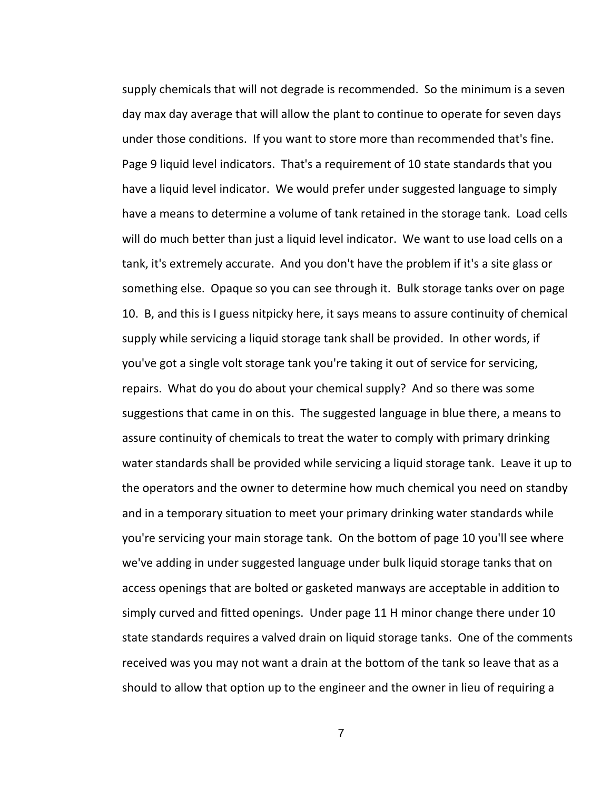supply chemicals that will not degrade is recommended. So the minimum is a seven day max day average that will allow the plant to continue to operate for seven days under those conditions. If you want to store more than recommended that's fine. Page 9 liquid level indicators. That's a requirement of 10 state standards that you have a liquid level indicator. We would prefer under suggested language to simply have a means to determine a volume of tank retained in the storage tank. Load cells will do much better than just a liquid level indicator. We want to use load cells on a tank, it's extremely accurate. And you don't have the problem if it's a site glass or something else. Opaque so you can see through it. Bulk storage tanks over on page 10. B, and this is I guess nitpicky here, it says means to assure continuity of chemical supply while servicing a liquid storage tank shall be provided. In other words, if you've got a single volt storage tank you're taking it out of service for servicing, repairs. What do you do about your chemical supply? And so there was some suggestions that came in on this. The suggested language in blue there, a means to assure continuity of chemicals to treat the water to comply with primary drinking water standards shall be provided while servicing a liquid storage tank. Leave it up to the operators and the owner to determine how much chemical you need on standby and in a temporary situation to meet your primary drinking water standards while you're servicing your main storage tank. On the bottom of page 10 you'll see where we've adding in under suggested language under bulk liquid storage tanks that on access openings that are bolted or gasketed manways are acceptable in addition to simply curved and fitted openings. Under page 11 H minor change there under 10 state standards requires a valved drain on liquid storage tanks. One of the comments received was you may not want a drain at the bottom of the tank so leave that as a should to allow that option up to the engineer and the owner in lieu of requiring a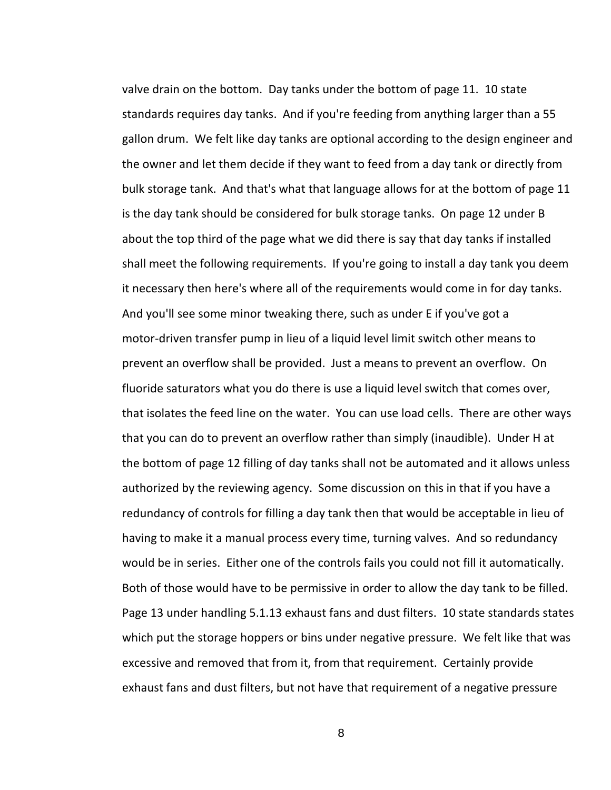valve drain on the bottom. Day tanks under the bottom of page 11. 10 state standards requires day tanks. And if you're feeding from anything larger than a 55 gallon drum. We felt like day tanks are optional according to the design engineer and the owner and let them decide if they want to feed from a day tank or directly from bulk storage tank. And that's what that language allows for at the bottom of page 11 is the day tank should be considered for bulk storage tanks. On page 12 under B about the top third of the page what we did there is say that day tanks if installed shall meet the following requirements. If you're going to install a day tank you deem it necessary then here's where all of the requirements would come in for day tanks. And you'll see some minor tweaking there, such as under E if you've got a motor-driven transfer pump in lieu of a liquid level limit switch other means to prevent an overflow shall be provided. Just a means to prevent an overflow. On fluoride saturators what you do there is use a liquid level switch that comes over, that isolates the feed line on the water. You can use load cells. There are other ways that you can do to prevent an overflow rather than simply (inaudible). Under H at the bottom of page 12 filling of day tanks shall not be automated and it allows unless authorized by the reviewing agency. Some discussion on this in that if you have a redundancy of controls for filling a day tank then that would be acceptable in lieu of having to make it a manual process every time, turning valves. And so redundancy would be in series. Either one of the controls fails you could not fill it automatically. Both of those would have to be permissive in order to allow the day tank to be filled. Page 13 under handling 5.1.13 exhaust fans and dust filters. 10 state standards states which put the storage hoppers or bins under negative pressure. We felt like that was excessive and removed that from it, from that requirement. Certainly provide exhaust fans and dust filters, but not have that requirement of a negative pressure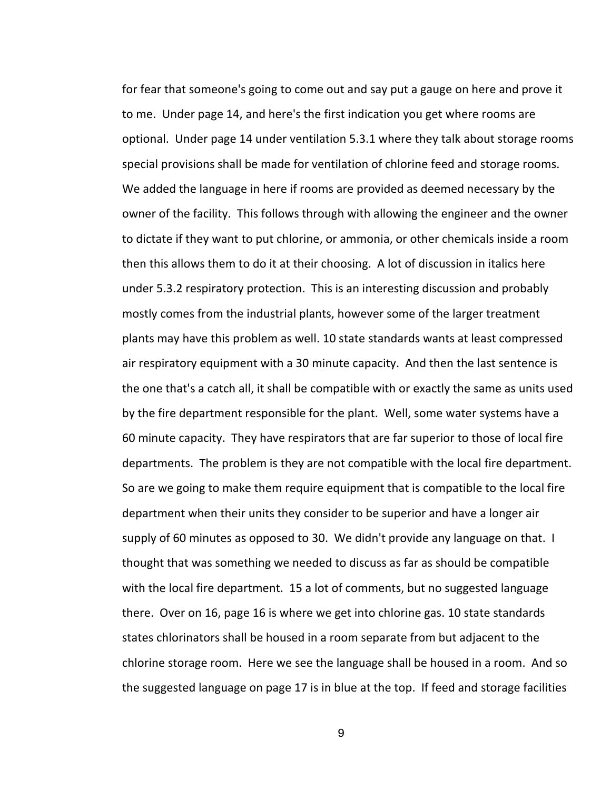for fear that someone's going to come out and say put a gauge on here and prove it to me. Under page 14, and here's the first indication you get where rooms are optional. Under page 14 under ventilation 5.3.1 where they talk about storage rooms special provisions shall be made for ventilation of chlorine feed and storage rooms. We added the language in here if rooms are provided as deemed necessary by the owner of the facility. This follows through with allowing the engineer and the owner to dictate if they want to put chlorine, or ammonia, or other chemicals inside a room then this allows them to do it at their choosing. A lot of discussion in italics here under 5.3.2 respiratory protection. This is an interesting discussion and probably mostly comes from the industrial plants, however some of the larger treatment plants may have this problem as well. 10 state standards wants at least compressed air respiratory equipment with a 30 minute capacity. And then the last sentence is the one that's a catch all, it shall be compatible with or exactly the same as units used by the fire department responsible for the plant. Well, some water systems have a 60 minute capacity. They have respirators that are far superior to those of local fire departments. The problem is they are not compatible with the local fire department. So are we going to make them require equipment that is compatible to the local fire department when their units they consider to be superior and have a longer air supply of 60 minutes as opposed to 30. We didn't provide any language on that. I thought that was something we needed to discuss as far as should be compatible with the local fire department. 15 a lot of comments, but no suggested language there. Over on 16, page 16 is where we get into chlorine gas. 10 state standards states chlorinators shall be housed in a room separate from but adjacent to the chlorine storage room. Here we see the language shall be housed in a room. And so the suggested language on page 17 is in blue at the top. If feed and storage facilities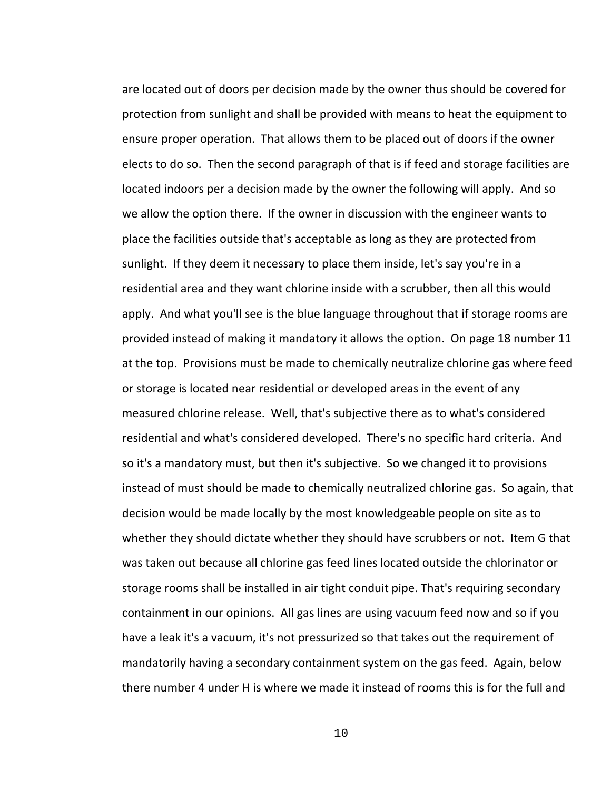are located out of doors per decision made by the owner thus should be covered for protection from sunlight and shall be provided with means to heat the equipment to ensure proper operation. That allows them to be placed out of doors if the owner elects to do so. Then the second paragraph of that is if feed and storage facilities are located indoors per a decision made by the owner the following will apply. And so we allow the option there. If the owner in discussion with the engineer wants to place the facilities outside that's acceptable as long as they are protected from sunlight. If they deem it necessary to place them inside, let's say you're in a residential area and they want chlorine inside with a scrubber, then all this would apply. And what you'll see is the blue language throughout that if storage rooms are provided instead of making it mandatory it allows the option. On page 18 number 11 at the top. Provisions must be made to chemically neutralize chlorine gas where feed or storage is located near residential or developed areas in the event of any measured chlorine release. Well, that's subjective there as to what's considered residential and what's considered developed. There's no specific hard criteria. And so it's a mandatory must, but then it's subjective. So we changed it to provisions instead of must should be made to chemically neutralized chlorine gas. So again, that decision would be made locally by the most knowledgeable people on site as to whether they should dictate whether they should have scrubbers or not. Item G that was taken out because all chlorine gas feed lines located outside the chlorinator or storage rooms shall be installed in air tight conduit pipe. That's requiring secondary containment in our opinions. All gas lines are using vacuum feed now and so if you have a leak it's a vacuum, it's not pressurized so that takes out the requirement of mandatorily having a secondary containment system on the gas feed. Again, below there number 4 under H is where we made it instead of rooms this is for the full and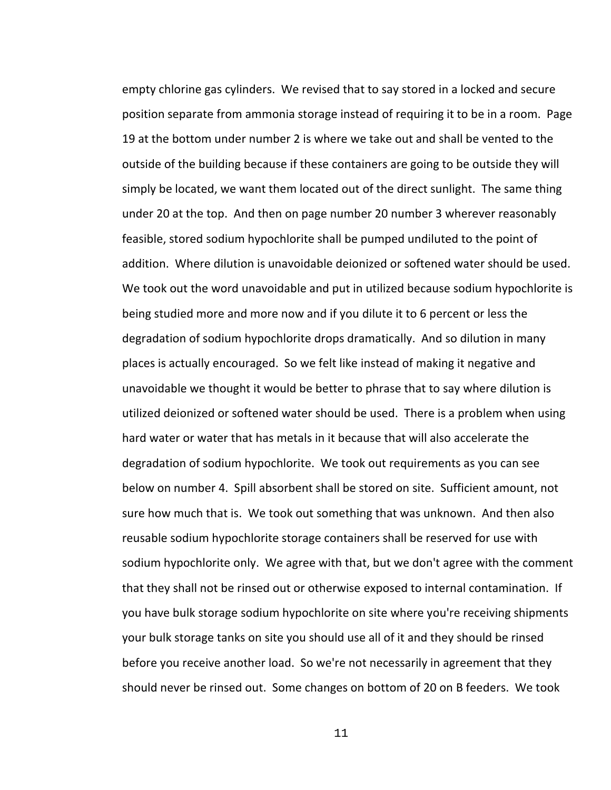empty chlorine gas cylinders. We revised that to say stored in a locked and secure position separate from ammonia storage instead of requiring it to be in a room. Page 19 at the bottom under number 2 is where we take out and shall be vented to the outside of the building because if these containers are going to be outside they will simply be located, we want them located out of the direct sunlight. The same thing under 20 at the top. And then on page number 20 number 3 wherever reasonably feasible, stored sodium hypochlorite shall be pumped undiluted to the point of addition. Where dilution is unavoidable deionized or softened water should be used. We took out the word unavoidable and put in utilized because sodium hypochlorite is being studied more and more now and if you dilute it to 6 percent or less the degradation of sodium hypochlorite drops dramatically. And so dilution in many places is actually encouraged. So we felt like instead of making it negative and unavoidable we thought it would be better to phrase that to say where dilution is utilized deionized or softened water should be used. There is a problem when using hard water or water that has metals in it because that will also accelerate the degradation of sodium hypochlorite. We took out requirements as you can see below on number 4. Spill absorbent shall be stored on site. Sufficient amount, not sure how much that is. We took out something that was unknown. And then also reusable sodium hypochlorite storage containers shall be reserved for use with sodium hypochlorite only. We agree with that, but we don't agree with the comment that they shall not be rinsed out or otherwise exposed to internal contamination. If you have bulk storage sodium hypochlorite on site where you're receiving shipments your bulk storage tanks on site you should use all of it and they should be rinsed before you receive another load. So we're not necessarily in agreement that they should never be rinsed out. Some changes on bottom of 20 on B feeders. We took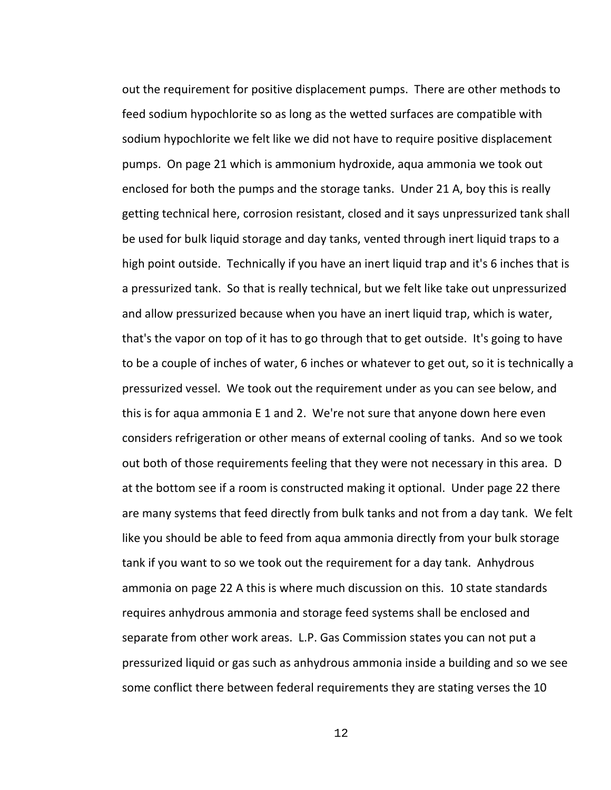out the requirement for positive displacement pumps. There are other methods to feed sodium hypochlorite so as long as the wetted surfaces are compatible with sodium hypochlorite we felt like we did not have to require positive displacement pumps. On page 21 which is ammonium hydroxide, aqua ammonia we took out enclosed for both the pumps and the storage tanks. Under 21 A, boy this is really getting technical here, corrosion resistant, closed and it says unpressurized tank shall be used for bulk liquid storage and day tanks, vented through inert liquid traps to a high point outside. Technically if you have an inert liquid trap and it's 6 inches that is a pressurized tank. So that is really technical, but we felt like take out unpressurized and allow pressurized because when you have an inert liquid trap, which is water, that's the vapor on top of it has to go through that to get outside. It's going to have to be a couple of inches of water, 6 inches or whatever to get out, so it is technically a pressurized vessel. We took out the requirement under as you can see below, and this is for aqua ammonia E 1 and 2. We're not sure that anyone down here even considers refrigeration or other means of external cooling of tanks. And so we took out both of those requirements feeling that they were not necessary in this area. D at the bottom see if a room is constructed making it optional. Under page 22 there are many systems that feed directly from bulk tanks and not from a day tank. We felt like you should be able to feed from aqua ammonia directly from your bulk storage tank if you want to so we took out the requirement for a day tank. Anhydrous ammonia on page 22 A this is where much discussion on this. 10 state standards requires anhydrous ammonia and storage feed systems shall be enclosed and separate from other work areas. L.P. Gas Commission states you can not put a pressurized liquid or gas such as anhydrous ammonia inside a building and so we see some conflict there between federal requirements they are stating verses the 10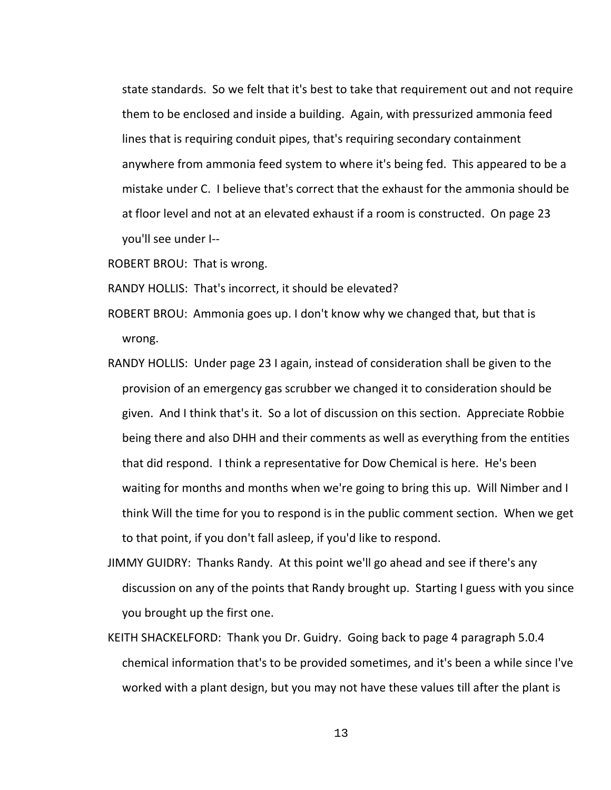state standards. So we felt that it's best to take that requirement out and not require them to be enclosed and inside a building. Again, with pressurized ammonia feed lines that is requiring conduit pipes, that's requiring secondary containment anywhere from ammonia feed system to where it's being fed. This appeared to be a mistake under C. I believe that's correct that the exhaust for the ammonia should be at floor level and not at an elevated exhaust if a room is constructed. On page 23 you'll see under I--

ROBERT BROU: That is wrong.

RANDY HOLLIS: That's incorrect, it should be elevated?

- ROBERT BROU: Ammonia goes up. I don't know why we changed that, but that is wrong.
- RANDY HOLLIS: Under page 23 I again, instead of consideration shall be given to the provision of an emergency gas scrubber we changed it to consideration should be given. And I think that's it. So a lot of discussion on this section. Appreciate Robbie being there and also DHH and their comments as well as everything from the entities that did respond. I think a representative for Dow Chemical is here. He's been waiting for months and months when we're going to bring this up. Will Nimber and I think Will the time for you to respond is in the public comment section. When we get to that point, if you don't fall asleep, if you'd like to respond.
- JIMMY GUIDRY: Thanks Randy. At this point we'll go ahead and see if there's any discussion on any of the points that Randy brought up. Starting I guess with you since you brought up the first one.
- KEITH SHACKELFORD: Thank you Dr. Guidry. Going back to page 4 paragraph 5.0.4 chemical information that's to be provided sometimes, and it's been a while since I've worked with a plant design, but you may not have these values till after the plant is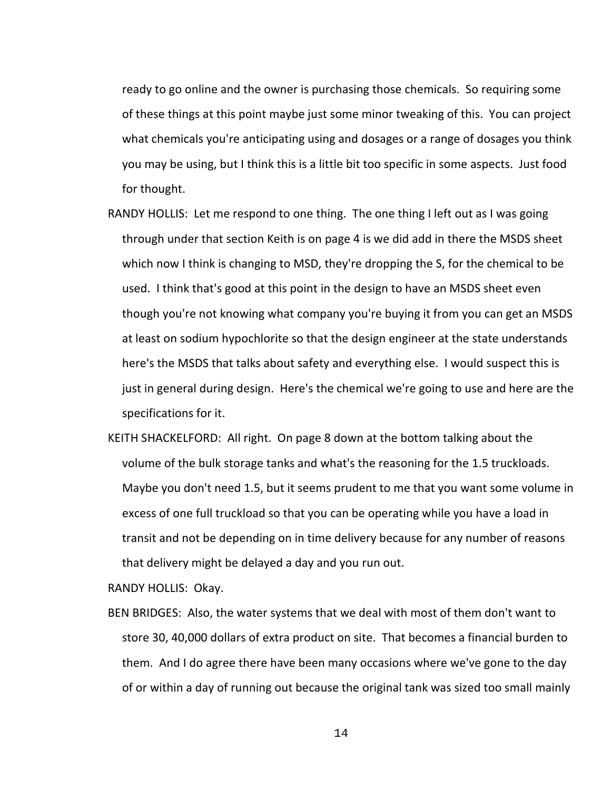ready to go online and the owner is purchasing those chemicals. So requiring some of these things at this point maybe just some minor tweaking of this. You can project what chemicals you're anticipating using and dosages or a range of dosages you think you may be using, but I think this is a little bit too specific in some aspects. Just food for thought.

- RANDY HOLLIS: Let me respond to one thing. The one thing I left out as I was going through under that section Keith is on page 4 is we did add in there the MSDS sheet which now I think is changing to MSD, they're dropping the S, for the chemical to be used. I think that's good at this point in the design to have an MSDS sheet even though you're not knowing what company you're buying it from you can get an MSDS at least on sodium hypochlorite so that the design engineer at the state understands here's the MSDS that talks about safety and everything else. I would suspect this is just in general during design. Here's the chemical we're going to use and here are the specifications for it.
- KEITH SHACKELFORD: All right. On page 8 down at the bottom talking about the volume of the bulk storage tanks and what's the reasoning for the 1.5 truckloads. Maybe you don't need 1.5, but it seems prudent to me that you want some volume in excess of one full truckload so that you can be operating while you have a load in transit and not be depending on in time delivery because for any number of reasons that delivery might be delayed a day and you run out.

RANDY HOLLIS: Okay.

BEN BRIDGES: Also, the water systems that we deal with most of them don't want to store 30, 40,000 dollars of extra product on site. That becomes a financial burden to them. And I do agree there have been many occasions where we've gone to the day of or within a day of running out because the original tank was sized too small mainly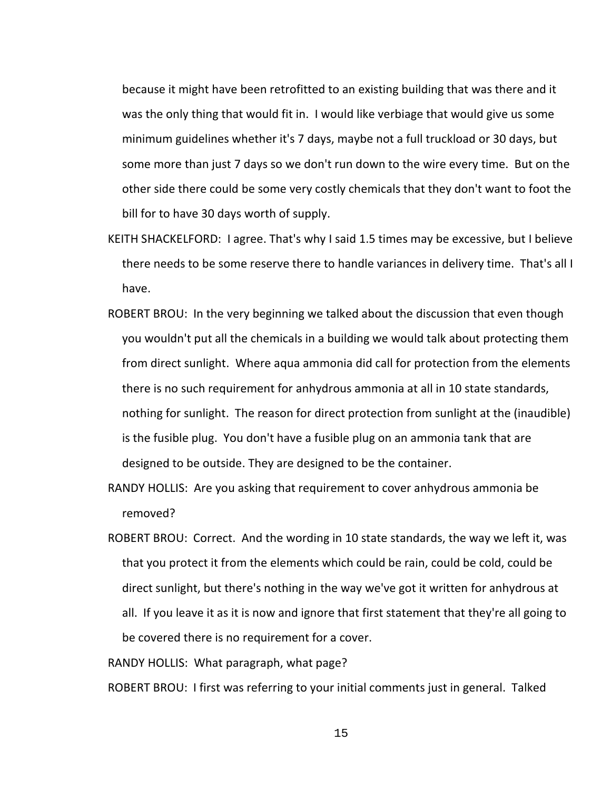because it might have been retrofitted to an existing building that was there and it was the only thing that would fit in. I would like verbiage that would give us some minimum guidelines whether it's 7 days, maybe not a full truckload or 30 days, but some more than just 7 days so we don't run down to the wire every time. But on the other side there could be some very costly chemicals that they don't want to foot the bill for to have 30 days worth of supply.

- KEITH SHACKELFORD: I agree. That's why I said 1.5 times may be excessive, but I believe there needs to be some reserve there to handle variances in delivery time. That's all I have.
- ROBERT BROU: In the very beginning we talked about the discussion that even though you wouldn't put all the chemicals in a building we would talk about protecting them from direct sunlight. Where aqua ammonia did call for protection from the elements there is no such requirement for anhydrous ammonia at all in 10 state standards, nothing for sunlight. The reason for direct protection from sunlight at the (inaudible) is the fusible plug. You don't have a fusible plug on an ammonia tank that are designed to be outside. They are designed to be the container.
- RANDY HOLLIS: Are you asking that requirement to cover anhydrous ammonia be removed?
- ROBERT BROU: Correct. And the wording in 10 state standards, the way we left it, was that you protect it from the elements which could be rain, could be cold, could be direct sunlight, but there's nothing in the way we've got it written for anhydrous at all. If you leave it as it is now and ignore that first statement that they're all going to be covered there is no requirement for a cover.

RANDY HOLLIS: What paragraph, what page?

ROBERT BROU: I first was referring to your initial comments just in general. Talked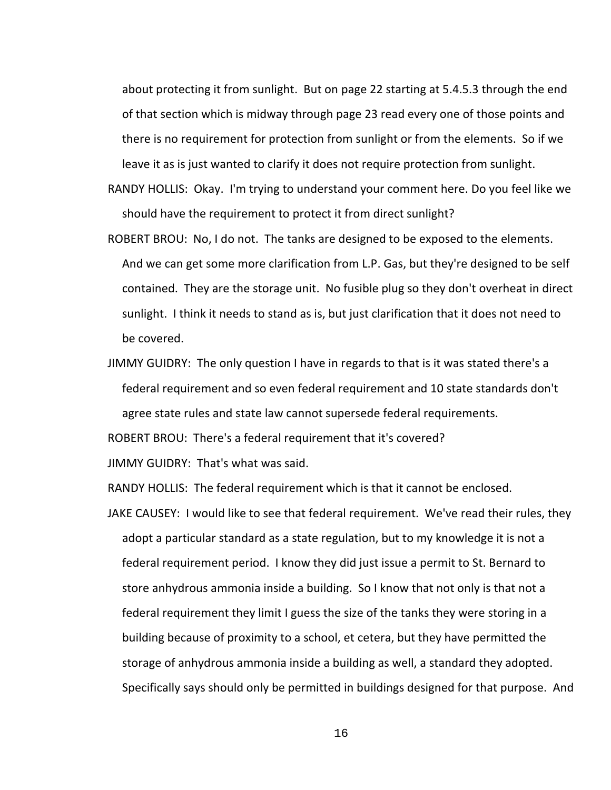about protecting it from sunlight. But on page 22 starting at 5.4.5.3 through the end of that section which is midway through page 23 read every one of those points and there is no requirement for protection from sunlight or from the elements. So if we leave it as is just wanted to clarify it does not require protection from sunlight.

- RANDY HOLLIS: Okay. I'm trying to understand your comment here. Do you feel like we should have the requirement to protect it from direct sunlight?
- ROBERT BROU: No, I do not. The tanks are designed to be exposed to the elements. And we can get some more clarification from L.P. Gas, but they're designed to be self contained. They are the storage unit. No fusible plug so they don't overheat in direct sunlight. I think it needs to stand as is, but just clarification that it does not need to be covered.
- JIMMY GUIDRY: The only question I have in regards to that is it was stated there's a federal requirement and so even federal requirement and 10 state standards don't agree state rules and state law cannot supersede federal requirements.

ROBERT BROU: There's a federal requirement that it's covered?

JIMMY GUIDRY: That's what was said.

RANDY HOLLIS: The federal requirement which is that it cannot be enclosed.

JAKE CAUSEY: I would like to see that federal requirement. We've read their rules, they adopt a particular standard as a state regulation, but to my knowledge it is not a federal requirement period. I know they did just issue a permit to St. Bernard to store anhydrous ammonia inside a building. So I know that not only is that not a federal requirement they limit I guess the size of the tanks they were storing in a building because of proximity to a school, et cetera, but they have permitted the storage of anhydrous ammonia inside a building as well, a standard they adopted. Specifically says should only be permitted in buildings designed for that purpose. And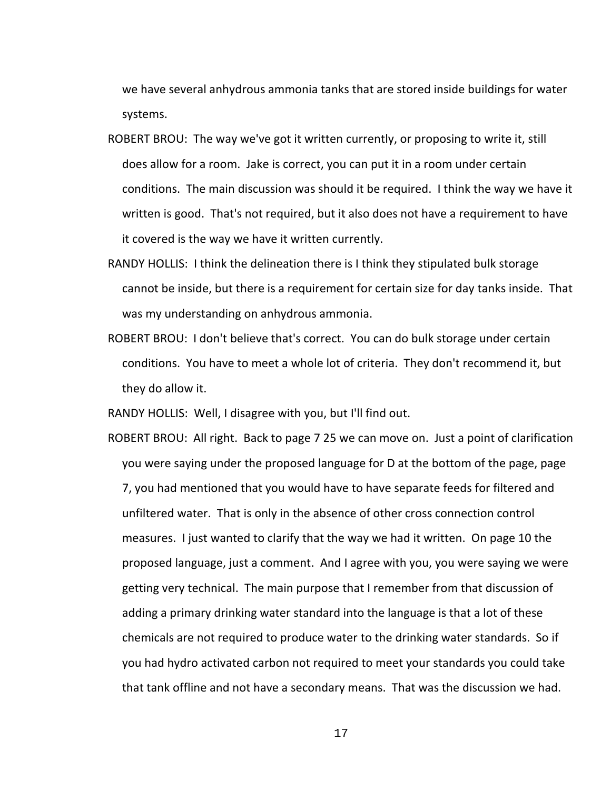we have several anhydrous ammonia tanks that are stored inside buildings for water systems.

- ROBERT BROU: The way we've got it written currently, or proposing to write it, still does allow for a room. Jake is correct, you can put it in a room under certain conditions. The main discussion was should it be required. I think the way we have it written is good. That's not required, but it also does not have a requirement to have it covered is the way we have it written currently.
- RANDY HOLLIS: I think the delineation there is I think they stipulated bulk storage cannot be inside, but there is a requirement for certain size for day tanks inside. That was my understanding on anhydrous ammonia.
- ROBERT BROU: I don't believe that's correct. You can do bulk storage under certain conditions. You have to meet a whole lot of criteria. They don't recommend it, but they do allow it.

RANDY HOLLIS: Well, I disagree with you, but I'll find out.

ROBERT BROU: All right. Back to page 7 25 we can move on. Just a point of clarification you were saying under the proposed language for D at the bottom of the page, page 7, you had mentioned that you would have to have separate feeds for filtered and unfiltered water. That is only in the absence of other cross connection control measures. I just wanted to clarify that the way we had it written. On page 10 the proposed language, just a comment. And I agree with you, you were saying we were getting very technical. The main purpose that I remember from that discussion of adding a primary drinking water standard into the language is that a lot of these chemicals are not required to produce water to the drinking water standards. So if you had hydro activated carbon not required to meet your standards you could take that tank offline and not have a secondary means. That was the discussion we had.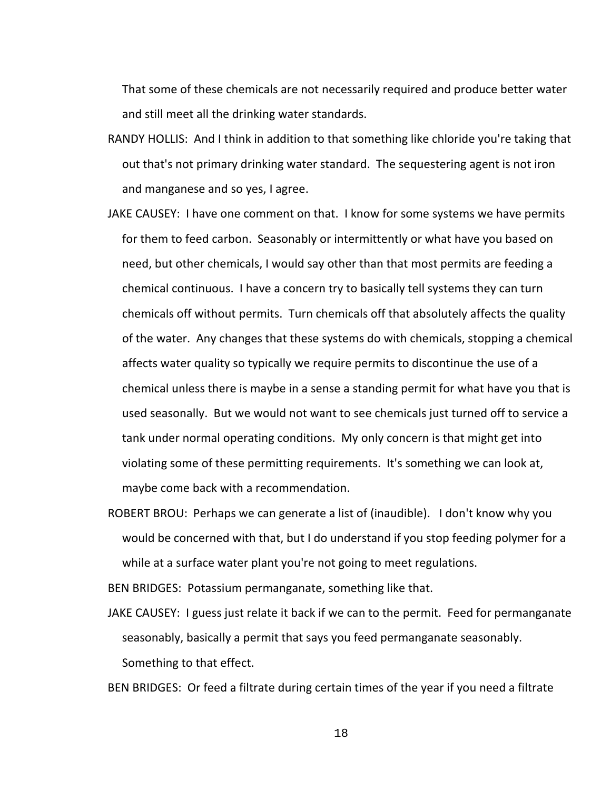That some of these chemicals are not necessarily required and produce better water and still meet all the drinking water standards.

- RANDY HOLLIS: And I think in addition to that something like chloride you're taking that out that's not primary drinking water standard. The sequestering agent is not iron and manganese and so yes, I agree.
- JAKE CAUSEY: I have one comment on that. I know for some systems we have permits for them to feed carbon. Seasonably or intermittently or what have you based on need, but other chemicals, I would say other than that most permits are feeding a chemical continuous. I have a concern try to basically tell systems they can turn chemicals off without permits. Turn chemicals off that absolutely affects the quality of the water. Any changes that these systems do with chemicals, stopping a chemical affects water quality so typically we require permits to discontinue the use of a chemical unless there is maybe in a sense a standing permit for what have you that is used seasonally. But we would not want to see chemicals just turned off to service a tank under normal operating conditions. My only concern is that might get into violating some of these permitting requirements. It's something we can look at, maybe come back with a recommendation.
- ROBERT BROU: Perhaps we can generate a list of (inaudible). I don't know why you would be concerned with that, but I do understand if you stop feeding polymer for a while at a surface water plant you're not going to meet regulations.

BEN BRIDGES: Potassium permanganate, something like that.

JAKE CAUSEY: I guess just relate it back if we can to the permit. Feed for permanganate seasonably, basically a permit that says you feed permanganate seasonably. Something to that effect.

BEN BRIDGES: Or feed a filtrate during certain times of the year if you need a filtrate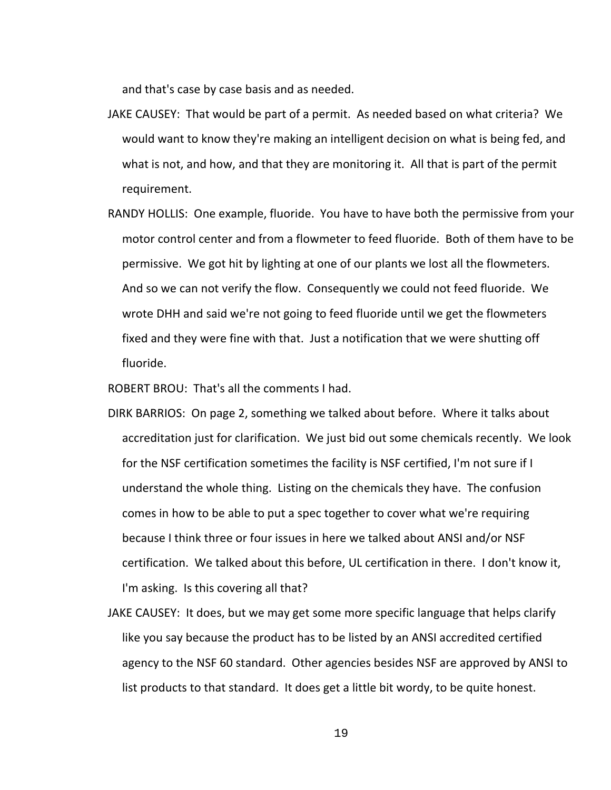and that's case by case basis and as needed.

- JAKE CAUSEY: That would be part of a permit. As needed based on what criteria? We would want to know they're making an intelligent decision on what is being fed, and what is not, and how, and that they are monitoring it. All that is part of the permit requirement.
- RANDY HOLLIS: One example, fluoride. You have to have both the permissive from your motor control center and from a flowmeter to feed fluoride. Both of them have to be permissive. We got hit by lighting at one of our plants we lost all the flowmeters. And so we can not verify the flow. Consequently we could not feed fluoride. We wrote DHH and said we're not going to feed fluoride until we get the flowmeters fixed and they were fine with that. Just a notification that we were shutting off fluoride.

ROBERT BROU: That's all the comments I had.

- DIRK BARRIOS: On page 2, something we talked about before. Where it talks about accreditation just for clarification. We just bid out some chemicals recently. We look for the NSF certification sometimes the facility is NSF certified, I'm not sure if I understand the whole thing. Listing on the chemicals they have. The confusion comes in how to be able to put a spec together to cover what we're requiring because I think three or four issues in here we talked about ANSI and/or NSF certification. We talked about this before, UL certification in there. I don't know it, I'm asking. Is this covering all that?
- JAKE CAUSEY: It does, but we may get some more specific language that helps clarify like you say because the product has to be listed by an ANSI accredited certified agency to the NSF 60 standard. Other agencies besides NSF are approved by ANSI to list products to that standard. It does get a little bit wordy, to be quite honest.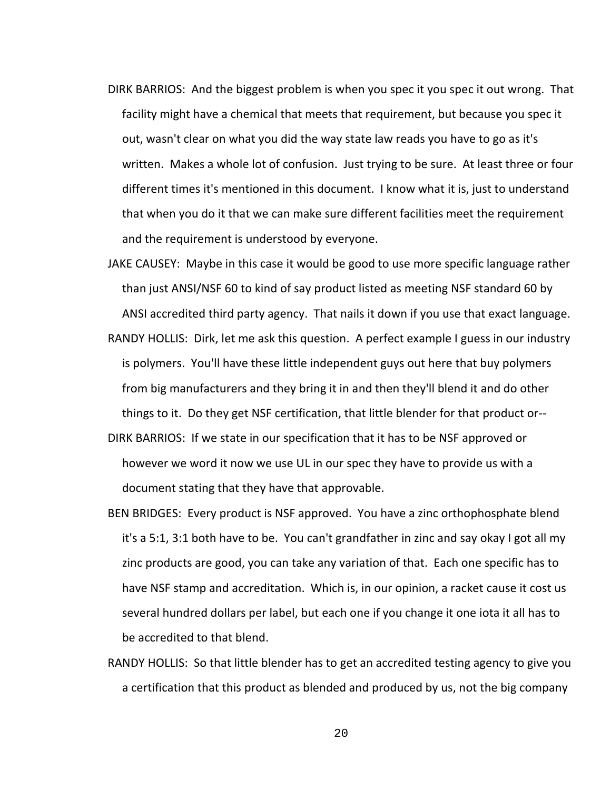- DIRK BARRIOS: And the biggest problem is when you spec it you spec it out wrong. That facility might have a chemical that meets that requirement, but because you spec it out, wasn't clear on what you did the way state law reads you have to go as it's written. Makes a whole lot of confusion. Just trying to be sure. At least three or four different times it's mentioned in this document. I know what it is, just to understand that when you do it that we can make sure different facilities meet the requirement and the requirement is understood by everyone.
- JAKE CAUSEY: Maybe in this case it would be good to use more specific language rather than just ANSI/NSF 60 to kind of say product listed as meeting NSF standard 60 by ANSI accredited third party agency. That nails it down if you use that exact language. RANDY HOLLIS: Dirk, let me ask this question. A perfect example I guess in our industry is polymers. You'll have these little independent guys out here that buy polymers from big manufacturers and they bring it in and then they'll blend it and do other things to it. Do they get NSF certification, that little blender for that product or--
- DIRK BARRIOS: If we state in our specification that it has to be NSF approved or however we word it now we use UL in our spec they have to provide us with a document stating that they have that approvable.
- BEN BRIDGES: Every product is NSF approved. You have a zinc orthophosphate blend it's a 5:1, 3:1 both have to be. You can't grandfather in zinc and say okay I got all my zinc products are good, you can take any variation of that. Each one specific has to have NSF stamp and accreditation. Which is, in our opinion, a racket cause it cost us several hundred dollars per label, but each one if you change it one iota it all has to be accredited to that blend.
- RANDY HOLLIS: So that little blender has to get an accredited testing agency to give you a certification that this product as blended and produced by us, not the big company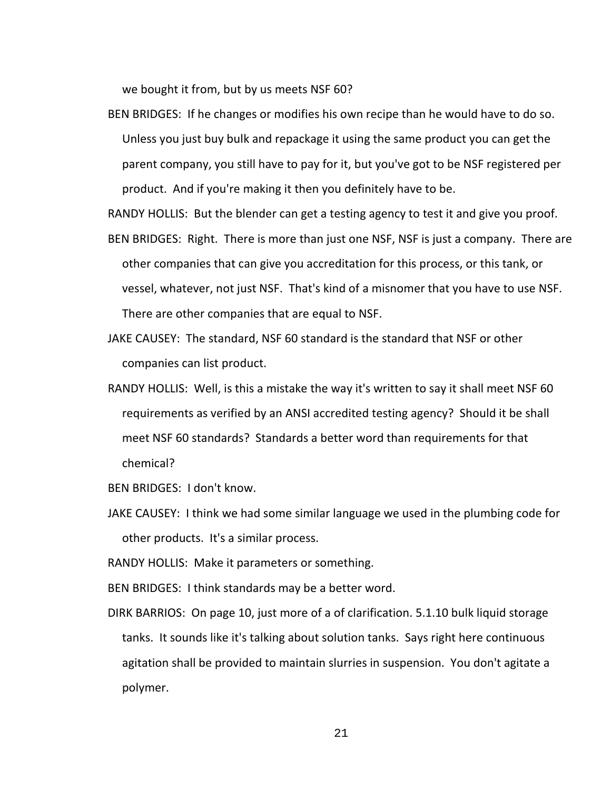we bought it from, but by us meets NSF 60?

BEN BRIDGES: If he changes or modifies his own recipe than he would have to do so. Unless you just buy bulk and repackage it using the same product you can get the parent company, you still have to pay for it, but you've got to be NSF registered per product. And if you're making it then you definitely have to be.

RANDY HOLLIS: But the blender can get a testing agency to test it and give you proof.

- BEN BRIDGES: Right. There is more than just one NSF, NSF is just a company. There are other companies that can give you accreditation for this process, or this tank, or vessel, whatever, not just NSF. That's kind of a misnomer that you have to use NSF. There are other companies that are equal to NSF.
- JAKE CAUSEY: The standard, NSF 60 standard is the standard that NSF or other companies can list product.
- RANDY HOLLIS: Well, is this a mistake the way it's written to say it shall meet NSF 60 requirements as verified by an ANSI accredited testing agency? Should it be shall meet NSF 60 standards? Standards a better word than requirements for that chemical?

BEN BRIDGES: I don't know.

JAKE CAUSEY: I think we had some similar language we used in the plumbing code for other products. It's a similar process.

RANDY HOLLIS: Make it parameters or something.

BEN BRIDGES: I think standards may be a better word.

DIRK BARRIOS: On page 10, just more of a of clarification. 5.1.10 bulk liquid storage tanks. It sounds like it's talking about solution tanks. Says right here continuous agitation shall be provided to maintain slurries in suspension. You don't agitate a polymer.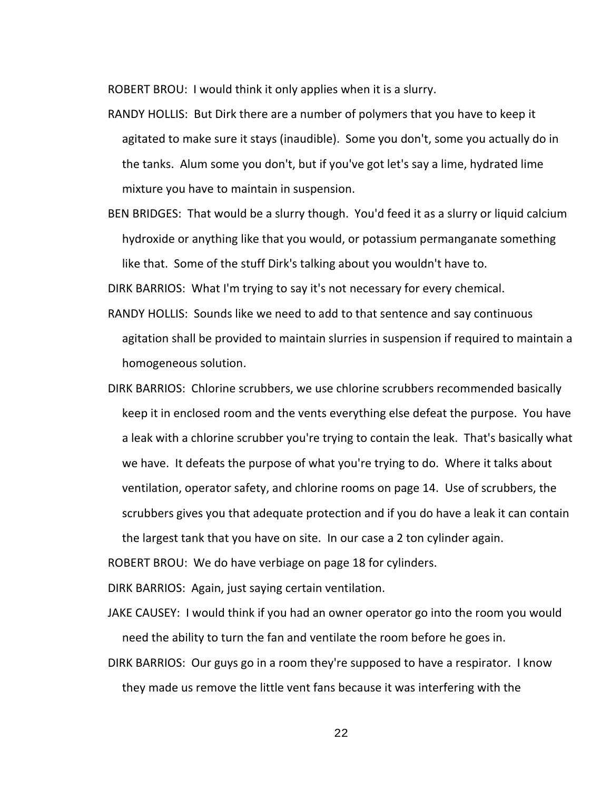ROBERT BROU: I would think it only applies when it is a slurry.

- RANDY HOLLIS: But Dirk there are a number of polymers that you have to keep it agitated to make sure it stays (inaudible). Some you don't, some you actually do in the tanks. Alum some you don't, but if you've got let's say a lime, hydrated lime mixture you have to maintain in suspension.
- BEN BRIDGES: That would be a slurry though. You'd feed it as a slurry or liquid calcium hydroxide or anything like that you would, or potassium permanganate something like that. Some of the stuff Dirk's talking about you wouldn't have to.

DIRK BARRIOS: What I'm trying to say it's not necessary for every chemical.

- RANDY HOLLIS: Sounds like we need to add to that sentence and say continuous agitation shall be provided to maintain slurries in suspension if required to maintain a homogeneous solution.
- DIRK BARRIOS: Chlorine scrubbers, we use chlorine scrubbers recommended basically keep it in enclosed room and the vents everything else defeat the purpose. You have a leak with a chlorine scrubber you're trying to contain the leak. That's basically what we have. It defeats the purpose of what you're trying to do. Where it talks about ventilation, operator safety, and chlorine rooms on page 14. Use of scrubbers, the scrubbers gives you that adequate protection and if you do have a leak it can contain the largest tank that you have on site. In our case a 2 ton cylinder again.

ROBERT BROU: We do have verbiage on page 18 for cylinders.

DIRK BARRIOS: Again, just saying certain ventilation.

- JAKE CAUSEY: I would think if you had an owner operator go into the room you would need the ability to turn the fan and ventilate the room before he goes in.
- DIRK BARRIOS: Our guys go in a room they're supposed to have a respirator. I know they made us remove the little vent fans because it was interfering with the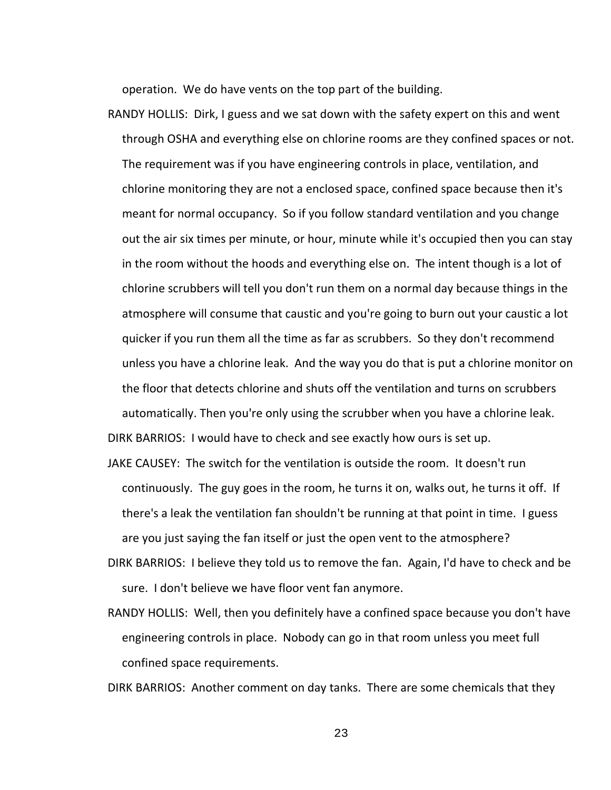operation. We do have vents on the top part of the building.

- RANDY HOLLIS: Dirk, I guess and we sat down with the safety expert on this and went through OSHA and everything else on chlorine rooms are they confined spaces or not. The requirement was if you have engineering controls in place, ventilation, and chlorine monitoring they are not a enclosed space, confined space because then it's meant for normal occupancy. So if you follow standard ventilation and you change out the air six times per minute, or hour, minute while it's occupied then you can stay in the room without the hoods and everything else on. The intent though is a lot of chlorine scrubbers will tell you don't run them on a normal day because things in the atmosphere will consume that caustic and you're going to burn out your caustic a lot quicker if you run them all the time as far as scrubbers. So they don't recommend unless you have a chlorine leak. And the way you do that is put a chlorine monitor on the floor that detects chlorine and shuts off the ventilation and turns on scrubbers automatically. Then you're only using the scrubber when you have a chlorine leak. DIRK BARRIOS: I would have to check and see exactly how ours is set up.
- JAKE CAUSEY: The switch for the ventilation is outside the room. It doesn't run continuously. The guy goes in the room, he turns it on, walks out, he turns it off. If there's a leak the ventilation fan shouldn't be running at that point in time. I guess are you just saying the fan itself or just the open vent to the atmosphere?
- DIRK BARRIOS: I believe they told us to remove the fan. Again, I'd have to check and be sure. I don't believe we have floor vent fan anymore.
- RANDY HOLLIS: Well, then you definitely have a confined space because you don't have engineering controls in place. Nobody can go in that room unless you meet full confined space requirements.

DIRK BARRIOS: Another comment on day tanks. There are some chemicals that they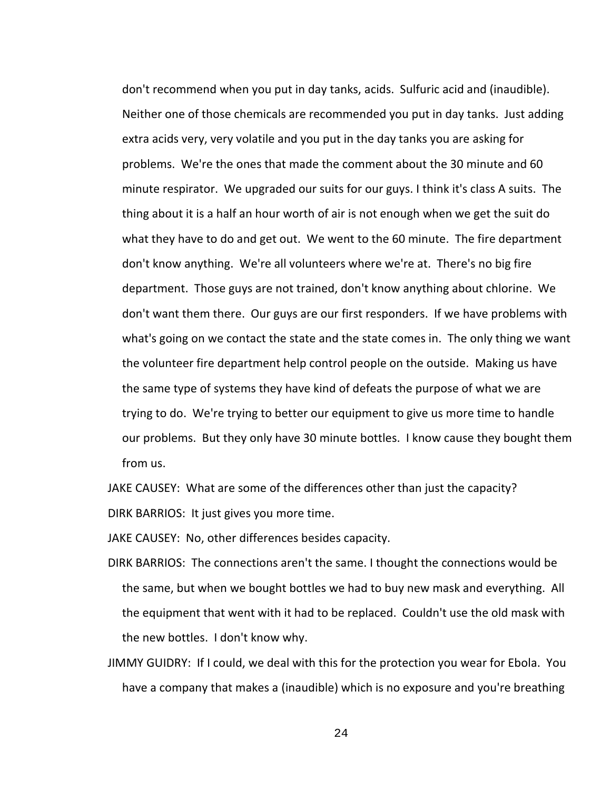don't recommend when you put in day tanks, acids. Sulfuric acid and (inaudible). Neither one of those chemicals are recommended you put in day tanks. Just adding extra acids very, very volatile and you put in the day tanks you are asking for problems. We're the ones that made the comment about the 30 minute and 60 minute respirator. We upgraded our suits for our guys. I think it's class A suits. The thing about it is a half an hour worth of air is not enough when we get the suit do what they have to do and get out. We went to the 60 minute. The fire department don't know anything. We're all volunteers where we're at. There's no big fire department. Those guys are not trained, don't know anything about chlorine. We don't want them there. Our guys are our first responders. If we have problems with what's going on we contact the state and the state comes in. The only thing we want the volunteer fire department help control people on the outside. Making us have the same type of systems they have kind of defeats the purpose of what we are trying to do. We're trying to better our equipment to give us more time to handle our problems. But they only have 30 minute bottles. I know cause they bought them from us.

JAKE CAUSEY: What are some of the differences other than just the capacity? DIRK BARRIOS: It just gives you more time.

JAKE CAUSEY: No, other differences besides capacity.

- DIRK BARRIOS: The connections aren't the same. I thought the connections would be the same, but when we bought bottles we had to buy new mask and everything. All the equipment that went with it had to be replaced. Couldn't use the old mask with the new bottles. I don't know why.
- JIMMY GUIDRY: If I could, we deal with this for the protection you wear for Ebola. You have a company that makes a (inaudible) which is no exposure and you're breathing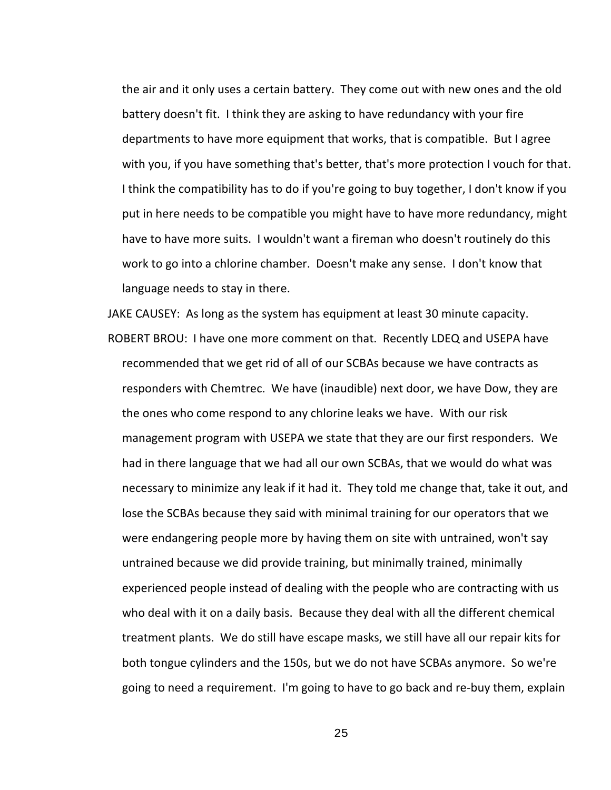the air and it only uses a certain battery. They come out with new ones and the old battery doesn't fit. I think they are asking to have redundancy with your fire departments to have more equipment that works, that is compatible. But I agree with you, if you have something that's better, that's more protection I vouch for that. I think the compatibility has to do if you're going to buy together, I don't know if you put in here needs to be compatible you might have to have more redundancy, might have to have more suits. I wouldn't want a fireman who doesn't routinely do this work to go into a chlorine chamber. Doesn't make any sense. I don't know that language needs to stay in there.

JAKE CAUSEY: As long as the system has equipment at least 30 minute capacity. ROBERT BROU: I have one more comment on that. Recently LDEQ and USEPA have recommended that we get rid of all of our SCBAs because we have contracts as responders with Chemtrec. We have (inaudible) next door, we have Dow, they are the ones who come respond to any chlorine leaks we have. With our risk management program with USEPA we state that they are our first responders. We had in there language that we had all our own SCBAs, that we would do what was necessary to minimize any leak if it had it. They told me change that, take it out, and lose the SCBAs because they said with minimal training for our operators that we were endangering people more by having them on site with untrained, won't say untrained because we did provide training, but minimally trained, minimally experienced people instead of dealing with the people who are contracting with us who deal with it on a daily basis. Because they deal with all the different chemical treatment plants. We do still have escape masks, we still have all our repair kits for both tongue cylinders and the 150s, but we do not have SCBAs anymore. So we're going to need a requirement. I'm going to have to go back and re-buy them, explain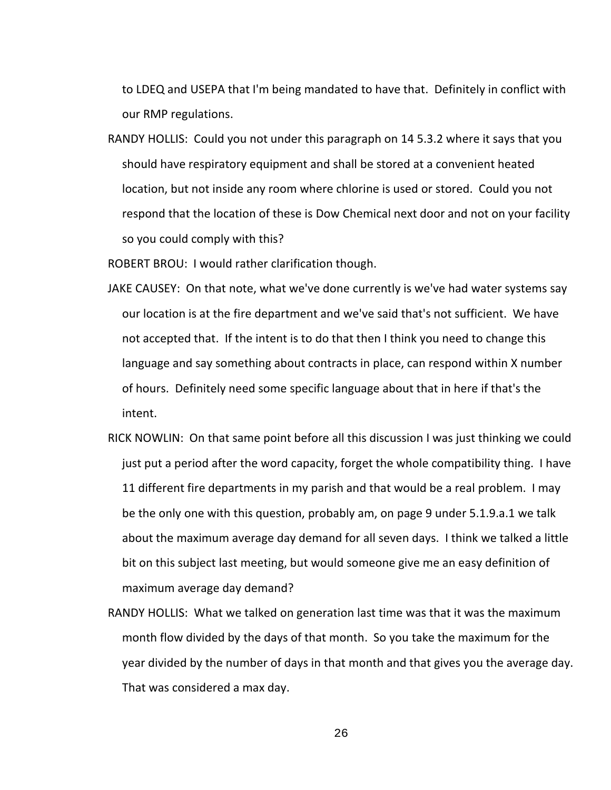to LDEQ and USEPA that I'm being mandated to have that. Definitely in conflict with our RMP regulations.

RANDY HOLLIS: Could you not under this paragraph on 14 5.3.2 where it says that you should have respiratory equipment and shall be stored at a convenient heated location, but not inside any room where chlorine is used or stored. Could you not respond that the location of these is Dow Chemical next door and not on your facility so you could comply with this?

ROBERT BROU: I would rather clarification though.

- JAKE CAUSEY: On that note, what we've done currently is we've had water systems say our location is at the fire department and we've said that's not sufficient. We have not accepted that. If the intent is to do that then I think you need to change this language and say something about contracts in place, can respond within X number of hours. Definitely need some specific language about that in here if that's the intent.
- RICK NOWLIN: On that same point before all this discussion I was just thinking we could just put a period after the word capacity, forget the whole compatibility thing. I have 11 different fire departments in my parish and that would be a real problem. I may be the only one with this question, probably am, on page 9 under 5.1.9.a.1 we talk about the maximum average day demand for all seven days. I think we talked a little bit on this subject last meeting, but would someone give me an easy definition of maximum average day demand?
- RANDY HOLLIS: What we talked on generation last time was that it was the maximum month flow divided by the days of that month. So you take the maximum for the year divided by the number of days in that month and that gives you the average day. That was considered a max day.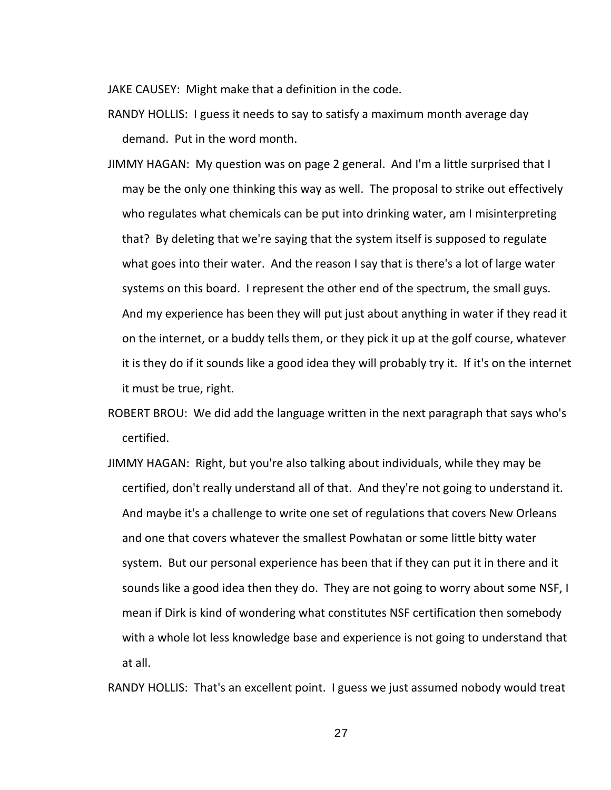JAKE CAUSEY: Might make that a definition in the code.

RANDY HOLLIS: I guess it needs to say to satisfy a maximum month average day demand. Put in the word month.

- JIMMY HAGAN: My question was on page 2 general. And I'm a little surprised that I may be the only one thinking this way as well. The proposal to strike out effectively who regulates what chemicals can be put into drinking water, am I misinterpreting that? By deleting that we're saying that the system itself is supposed to regulate what goes into their water. And the reason I say that is there's a lot of large water systems on this board. I represent the other end of the spectrum, the small guys. And my experience has been they will put just about anything in water if they read it on the internet, or a buddy tells them, or they pick it up at the golf course, whatever it is they do if it sounds like a good idea they will probably try it. If it's on the internet it must be true, right.
- ROBERT BROU: We did add the language written in the next paragraph that says who's certified.
- JIMMY HAGAN: Right, but you're also talking about individuals, while they may be certified, don't really understand all of that. And they're not going to understand it. And maybe it's a challenge to write one set of regulations that covers New Orleans and one that covers whatever the smallest Powhatan or some little bitty water system. But our personal experience has been that if they can put it in there and it sounds like a good idea then they do. They are not going to worry about some NSF, I mean if Dirk is kind of wondering what constitutes NSF certification then somebody with a whole lot less knowledge base and experience is not going to understand that at all.

RANDY HOLLIS: That's an excellent point. I guess we just assumed nobody would treat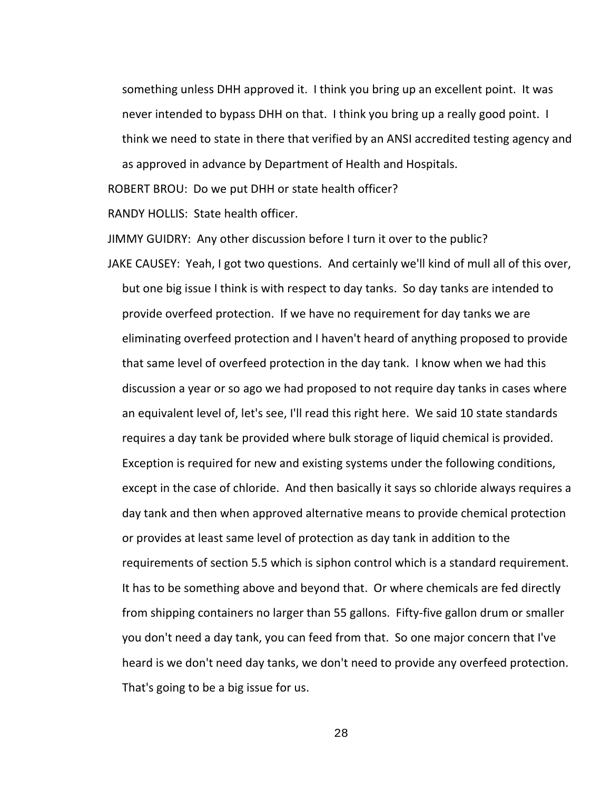something unless DHH approved it. I think you bring up an excellent point. It was never intended to bypass DHH on that. I think you bring up a really good point. I think we need to state in there that verified by an ANSI accredited testing agency and

as approved in advance by Department of Health and Hospitals.

ROBERT BROU: Do we put DHH or state health officer?

RANDY HOLLIS: State health officer.

JIMMY GUIDRY: Any other discussion before I turn it over to the public?

JAKE CAUSEY: Yeah, I got two questions. And certainly we'll kind of mull all of this over, but one big issue I think is with respect to day tanks. So day tanks are intended to provide overfeed protection. If we have no requirement for day tanks we are eliminating overfeed protection and I haven't heard of anything proposed to provide that same level of overfeed protection in the day tank. I know when we had this discussion a year or so ago we had proposed to not require day tanks in cases where an equivalent level of, let's see, I'll read this right here. We said 10 state standards requires a day tank be provided where bulk storage of liquid chemical is provided. Exception is required for new and existing systems under the following conditions, except in the case of chloride. And then basically it says so chloride always requires a day tank and then when approved alternative means to provide chemical protection or provides at least same level of protection as day tank in addition to the requirements of section 5.5 which is siphon control which is a standard requirement. It has to be something above and beyond that. Or where chemicals are fed directly from shipping containers no larger than 55 gallons. Fifty-five gallon drum or smaller you don't need a day tank, you can feed from that. So one major concern that I've heard is we don't need day tanks, we don't need to provide any overfeed protection. That's going to be a big issue for us.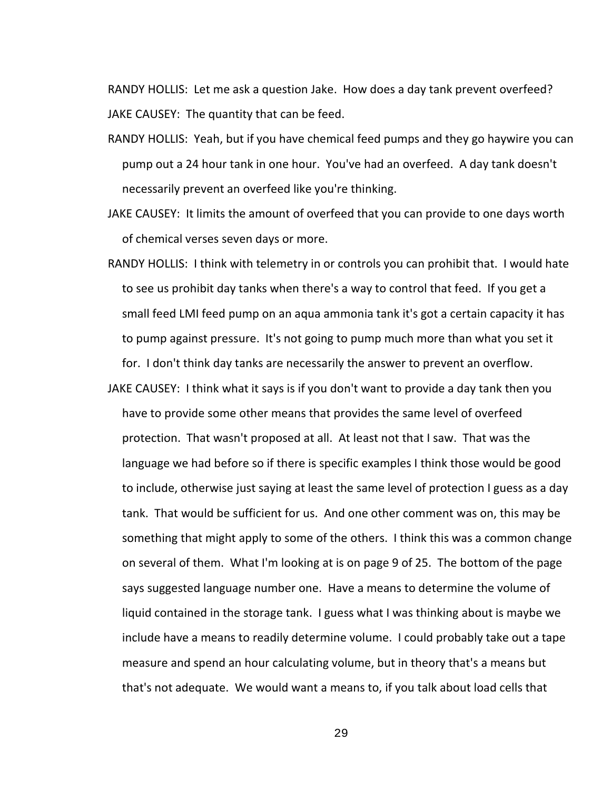RANDY HOLLIS: Let me ask a question Jake. How does a day tank prevent overfeed? JAKE CAUSEY: The quantity that can be feed.

- RANDY HOLLIS: Yeah, but if you have chemical feed pumps and they go haywire you can pump out a 24 hour tank in one hour. You've had an overfeed. A day tank doesn't necessarily prevent an overfeed like you're thinking.
- JAKE CAUSEY: It limits the amount of overfeed that you can provide to one days worth of chemical verses seven days or more.
- RANDY HOLLIS: I think with telemetry in or controls you can prohibit that. I would hate to see us prohibit day tanks when there's a way to control that feed. If you get a small feed LMI feed pump on an aqua ammonia tank it's got a certain capacity it has to pump against pressure. It's not going to pump much more than what you set it for. I don't think day tanks are necessarily the answer to prevent an overflow.
- JAKE CAUSEY: I think what it says is if you don't want to provide a day tank then you have to provide some other means that provides the same level of overfeed protection. That wasn't proposed at all. At least not that I saw. That was the language we had before so if there is specific examples I think those would be good to include, otherwise just saying at least the same level of protection I guess as a day tank. That would be sufficient for us. And one other comment was on, this may be something that might apply to some of the others. I think this was a common change on several of them. What I'm looking at is on page 9 of 25. The bottom of the page says suggested language number one. Have a means to determine the volume of liquid contained in the storage tank. I guess what I was thinking about is maybe we include have a means to readily determine volume. I could probably take out a tape measure and spend an hour calculating volume, but in theory that's a means but that's not adequate. We would want a means to, if you talk about load cells that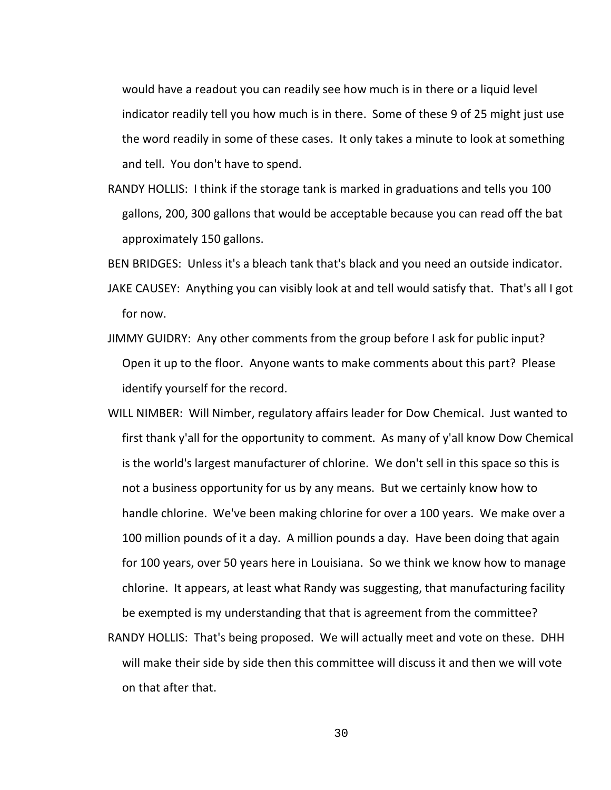would have a readout you can readily see how much is in there or a liquid level indicator readily tell you how much is in there. Some of these 9 of 25 might just use the word readily in some of these cases. It only takes a minute to look at something and tell. You don't have to spend.

RANDY HOLLIS: I think if the storage tank is marked in graduations and tells you 100 gallons, 200, 300 gallons that would be acceptable because you can read off the bat approximately 150 gallons.

BEN BRIDGES: Unless it's a bleach tank that's black and you need an outside indicator.

- JAKE CAUSEY: Anything you can visibly look at and tell would satisfy that. That's all I got for now.
- JIMMY GUIDRY: Any other comments from the group before I ask for public input? Open it up to the floor. Anyone wants to make comments about this part? Please identify yourself for the record.
- WILL NIMBER: Will Nimber, regulatory affairs leader for Dow Chemical. Just wanted to first thank y'all for the opportunity to comment. As many of y'all know Dow Chemical is the world's largest manufacturer of chlorine. We don't sell in this space so this is not a business opportunity for us by any means. But we certainly know how to handle chlorine. We've been making chlorine for over a 100 years. We make over a 100 million pounds of it a day. A million pounds a day. Have been doing that again for 100 years, over 50 years here in Louisiana. So we think we know how to manage chlorine. It appears, at least what Randy was suggesting, that manufacturing facility be exempted is my understanding that that is agreement from the committee?
- RANDY HOLLIS: That's being proposed. We will actually meet and vote on these. DHH will make their side by side then this committee will discuss it and then we will vote on that after that.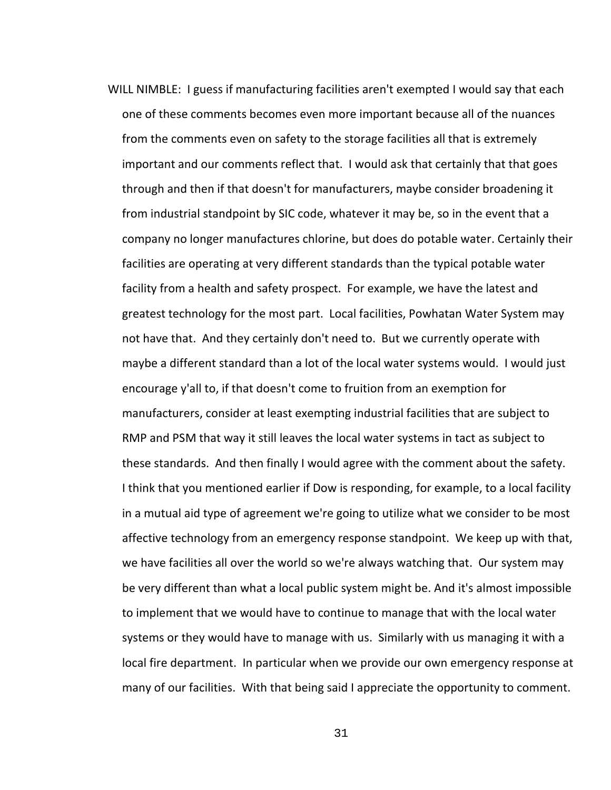WILL NIMBLE: I guess if manufacturing facilities aren't exempted I would say that each one of these comments becomes even more important because all of the nuances from the comments even on safety to the storage facilities all that is extremely important and our comments reflect that. I would ask that certainly that that goes through and then if that doesn't for manufacturers, maybe consider broadening it from industrial standpoint by SIC code, whatever it may be, so in the event that a company no longer manufactures chlorine, but does do potable water. Certainly their facilities are operating at very different standards than the typical potable water facility from a health and safety prospect. For example, we have the latest and greatest technology for the most part. Local facilities, Powhatan Water System may not have that. And they certainly don't need to. But we currently operate with maybe a different standard than a lot of the local water systems would. I would just encourage y'all to, if that doesn't come to fruition from an exemption for manufacturers, consider at least exempting industrial facilities that are subject to RMP and PSM that way it still leaves the local water systems in tact as subject to these standards. And then finally I would agree with the comment about the safety. I think that you mentioned earlier if Dow is responding, for example, to a local facility in a mutual aid type of agreement we're going to utilize what we consider to be most affective technology from an emergency response standpoint. We keep up with that, we have facilities all over the world so we're always watching that. Our system may be very different than what a local public system might be. And it's almost impossible to implement that we would have to continue to manage that with the local water systems or they would have to manage with us. Similarly with us managing it with a local fire department. In particular when we provide our own emergency response at many of our facilities. With that being said I appreciate the opportunity to comment.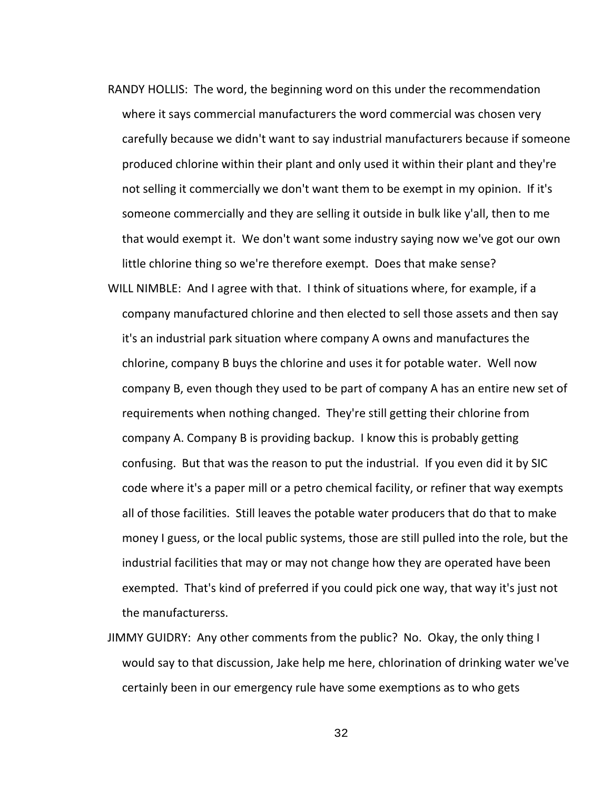- RANDY HOLLIS: The word, the beginning word on this under the recommendation where it says commercial manufacturers the word commercial was chosen very carefully because we didn't want to say industrial manufacturers because if someone produced chlorine within their plant and only used it within their plant and they're not selling it commercially we don't want them to be exempt in my opinion. If it's someone commercially and they are selling it outside in bulk like y'all, then to me that would exempt it. We don't want some industry saying now we've got our own little chlorine thing so we're therefore exempt. Does that make sense?
- WILL NIMBLE: And I agree with that. I think of situations where, for example, if a company manufactured chlorine and then elected to sell those assets and then say it's an industrial park situation where company A owns and manufactures the chlorine, company B buys the chlorine and uses it for potable water. Well now company B, even though they used to be part of company A has an entire new set of requirements when nothing changed. They're still getting their chlorine from company A. Company B is providing backup. I know this is probably getting confusing. But that was the reason to put the industrial. If you even did it by SIC code where it's a paper mill or a petro chemical facility, or refiner that way exempts all of those facilities. Still leaves the potable water producers that do that to make money I guess, or the local public systems, those are still pulled into the role, but the industrial facilities that may or may not change how they are operated have been exempted. That's kind of preferred if you could pick one way, that way it's just not the manufacturerss.
- JIMMY GUIDRY: Any other comments from the public? No. Okay, the only thing I would say to that discussion, Jake help me here, chlorination of drinking water we've certainly been in our emergency rule have some exemptions as to who gets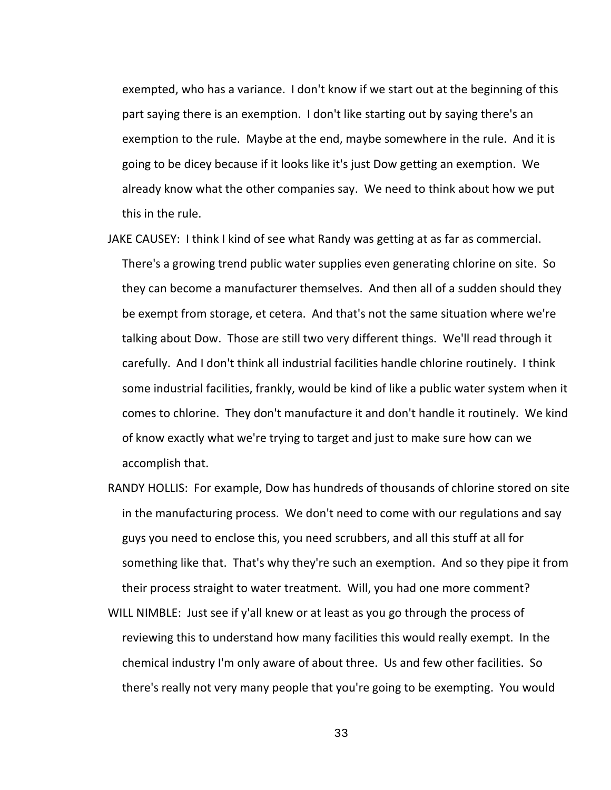exempted, who has a variance. I don't know if we start out at the beginning of this part saying there is an exemption. I don't like starting out by saying there's an exemption to the rule. Maybe at the end, maybe somewhere in the rule. And it is going to be dicey because if it looks like it's just Dow getting an exemption. We already know what the other companies say. We need to think about how we put this in the rule.

- JAKE CAUSEY: I think I kind of see what Randy was getting at as far as commercial. There's a growing trend public water supplies even generating chlorine on site. So they can become a manufacturer themselves. And then all of a sudden should they be exempt from storage, et cetera. And that's not the same situation where we're talking about Dow. Those are still two very different things. We'll read through it carefully. And I don't think all industrial facilities handle chlorine routinely. I think some industrial facilities, frankly, would be kind of like a public water system when it comes to chlorine. They don't manufacture it and don't handle it routinely. We kind of know exactly what we're trying to target and just to make sure how can we accomplish that.
- RANDY HOLLIS: For example, Dow has hundreds of thousands of chlorine stored on site in the manufacturing process. We don't need to come with our regulations and say guys you need to enclose this, you need scrubbers, and all this stuff at all for something like that. That's why they're such an exemption. And so they pipe it from their process straight to water treatment. Will, you had one more comment?
- WILL NIMBLE: Just see if y'all knew or at least as you go through the process of reviewing this to understand how many facilities this would really exempt. In the chemical industry I'm only aware of about three. Us and few other facilities. So there's really not very many people that you're going to be exempting. You would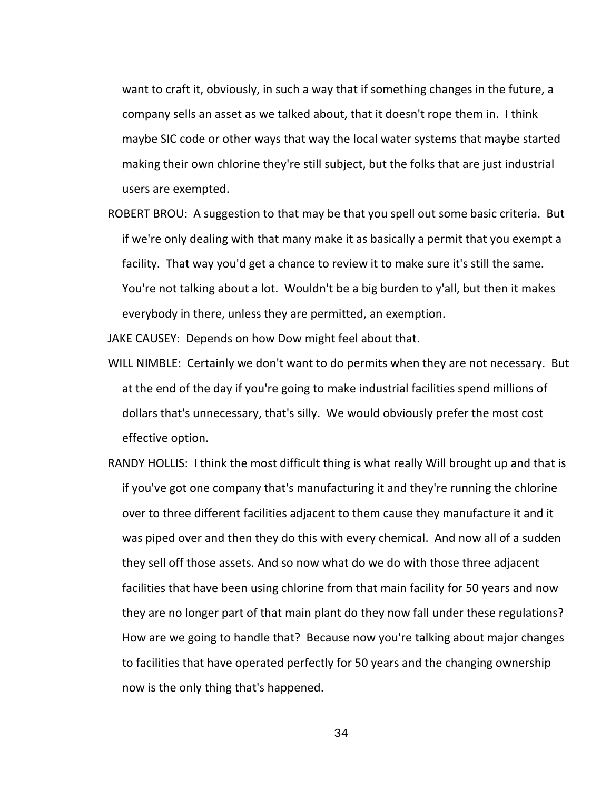want to craft it, obviously, in such a way that if something changes in the future, a company sells an asset as we talked about, that it doesn't rope them in. I think maybe SIC code or other ways that way the local water systems that maybe started making their own chlorine they're still subject, but the folks that are just industrial users are exempted.

ROBERT BROU: A suggestion to that may be that you spell out some basic criteria. But if we're only dealing with that many make it as basically a permit that you exempt a facility. That way you'd get a chance to review it to make sure it's still the same. You're not talking about a lot. Wouldn't be a big burden to y'all, but then it makes everybody in there, unless they are permitted, an exemption.

JAKE CAUSEY: Depends on how Dow might feel about that.

- WILL NIMBLE: Certainly we don't want to do permits when they are not necessary. But at the end of the day if you're going to make industrial facilities spend millions of dollars that's unnecessary, that's silly. We would obviously prefer the most cost effective option.
- RANDY HOLLIS: I think the most difficult thing is what really Will brought up and that is if you've got one company that's manufacturing it and they're running the chlorine over to three different facilities adjacent to them cause they manufacture it and it was piped over and then they do this with every chemical. And now all of a sudden they sell off those assets. And so now what do we do with those three adjacent facilities that have been using chlorine from that main facility for 50 years and now they are no longer part of that main plant do they now fall under these regulations? How are we going to handle that? Because now you're talking about major changes to facilities that have operated perfectly for 50 years and the changing ownership now is the only thing that's happened.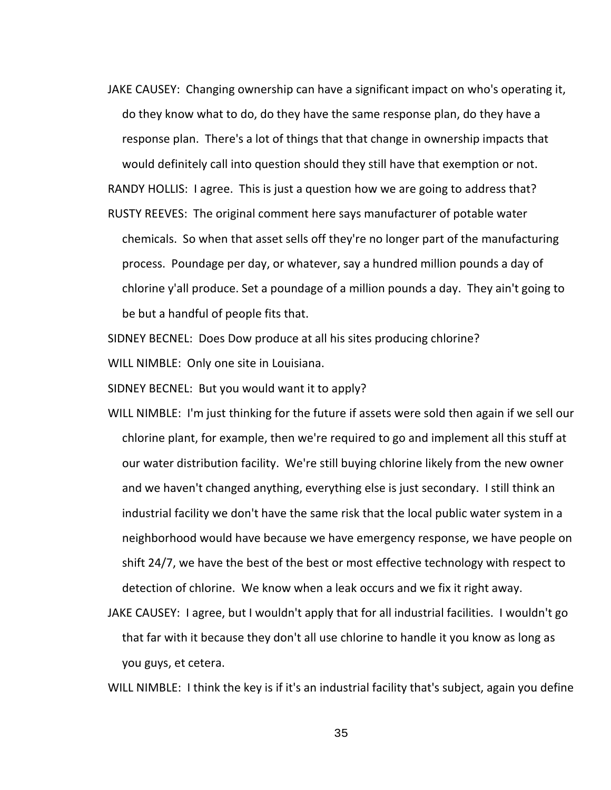JAKE CAUSEY: Changing ownership can have a significant impact on who's operating it, do they know what to do, do they have the same response plan, do they have a response plan. There's a lot of things that that change in ownership impacts that would definitely call into question should they still have that exemption or not.

RANDY HOLLIS: I agree. This is just a question how we are going to address that?

RUSTY REEVES: The original comment here says manufacturer of potable water chemicals. So when that asset sells off they're no longer part of the manufacturing process. Poundage per day, or whatever, say a hundred million pounds a day of chlorine y'all produce. Set a poundage of a million pounds a day. They ain't going to be but a handful of people fits that.

SIDNEY BECNEL: Does Dow produce at all his sites producing chlorine?

WILL NIMBLE: Only one site in Louisiana.

SIDNEY BECNEL: But you would want it to apply?

- WILL NIMBLE: I'm just thinking for the future if assets were sold then again if we sell our chlorine plant, for example, then we're required to go and implement all this stuff at our water distribution facility. We're still buying chlorine likely from the new owner and we haven't changed anything, everything else is just secondary. I still think an industrial facility we don't have the same risk that the local public water system in a neighborhood would have because we have emergency response, we have people on shift 24/7, we have the best of the best or most effective technology with respect to detection of chlorine. We know when a leak occurs and we fix it right away.
- JAKE CAUSEY: I agree, but I wouldn't apply that for all industrial facilities. I wouldn't go that far with it because they don't all use chlorine to handle it you know as long as you guys, et cetera.

WILL NIMBLE: I think the key is if it's an industrial facility that's subject, again you define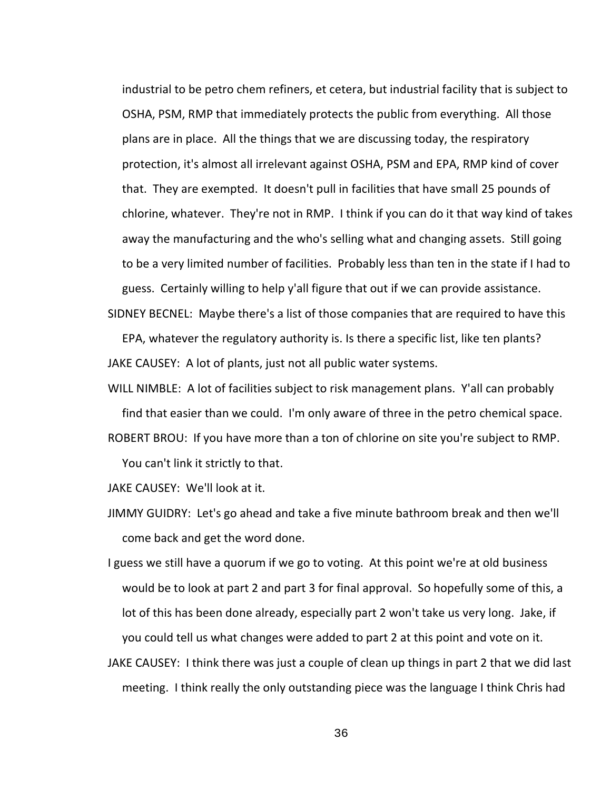industrial to be petro chem refiners, et cetera, but industrial facility that is subject to OSHA, PSM, RMP that immediately protects the public from everything. All those plans are in place. All the things that we are discussing today, the respiratory protection, it's almost all irrelevant against OSHA, PSM and EPA, RMP kind of cover that. They are exempted. It doesn't pull in facilities that have small 25 pounds of chlorine, whatever. They're not in RMP. I think if you can do it that way kind of takes away the manufacturing and the who's selling what and changing assets. Still going to be a very limited number of facilities. Probably less than ten in the state if I had to guess. Certainly willing to help y'all figure that out if we can provide assistance.

SIDNEY BECNEL: Maybe there's a list of those companies that are required to have this

EPA, whatever the regulatory authority is. Is there a specific list, like ten plants? JAKE CAUSEY: A lot of plants, just not all public water systems.

WILL NIMBLE: A lot of facilities subject to risk management plans. Y'all can probably find that easier than we could. I'm only aware of three in the petro chemical space. ROBERT BROU: If you have more than a ton of chlorine on site you're subject to RMP.

You can't link it strictly to that.

JAKE CAUSEY: We'll look at it.

JIMMY GUIDRY: Let's go ahead and take a five minute bathroom break and then we'll come back and get the word done.

I guess we still have a quorum if we go to voting. At this point we're at old business would be to look at part 2 and part 3 for final approval. So hopefully some of this, a lot of this has been done already, especially part 2 won't take us very long. Jake, if you could tell us what changes were added to part 2 at this point and vote on it.

JAKE CAUSEY: I think there was just a couple of clean up things in part 2 that we did last meeting. I think really the only outstanding piece was the language I think Chris had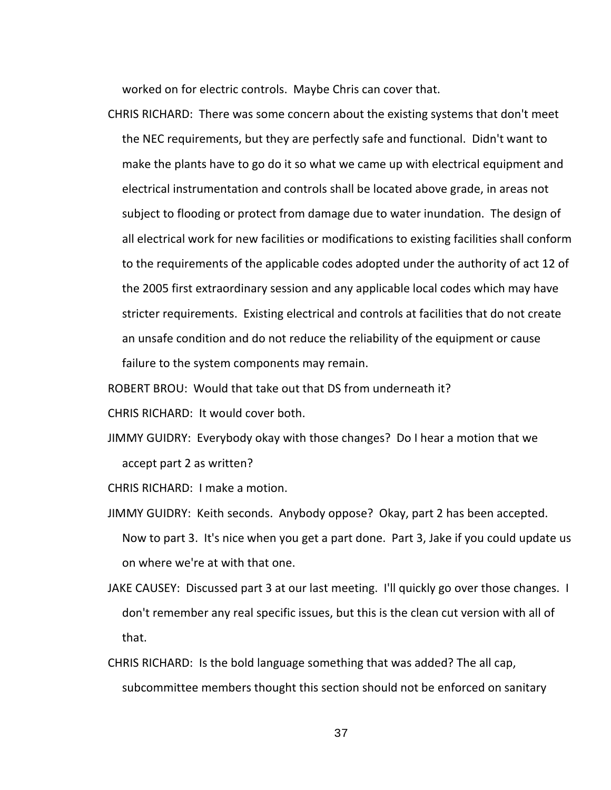worked on for electric controls. Maybe Chris can cover that.

CHRIS RICHARD: There was some concern about the existing systems that don't meet the NEC requirements, but they are perfectly safe and functional. Didn't want to make the plants have to go do it so what we came up with electrical equipment and electrical instrumentation and controls shall be located above grade, in areas not subject to flooding or protect from damage due to water inundation. The design of all electrical work for new facilities or modifications to existing facilities shall conform to the requirements of the applicable codes adopted under the authority of act 12 of the 2005 first extraordinary session and any applicable local codes which may have stricter requirements. Existing electrical and controls at facilities that do not create an unsafe condition and do not reduce the reliability of the equipment or cause failure to the system components may remain.

ROBERT BROU: Would that take out that DS from underneath it?

CHRIS RICHARD: It would cover both.

JIMMY GUIDRY: Everybody okay with those changes? Do I hear a motion that we accept part 2 as written?

CHRIS RICHARD: I make a motion.

- JIMMY GUIDRY: Keith seconds. Anybody oppose? Okay, part 2 has been accepted. Now to part 3. It's nice when you get a part done. Part 3, Jake if you could update us on where we're at with that one.
- JAKE CAUSEY: Discussed part 3 at our last meeting. I'll quickly go over those changes. I don't remember any real specific issues, but this is the clean cut version with all of that.
- CHRIS RICHARD: Is the bold language something that was added? The all cap, subcommittee members thought this section should not be enforced on sanitary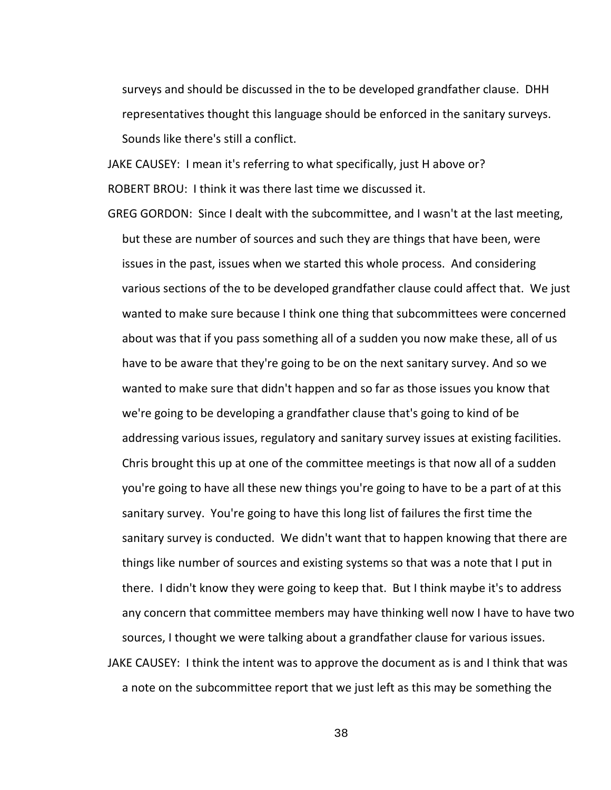surveys and should be discussed in the to be developed grandfather clause. DHH representatives thought this language should be enforced in the sanitary surveys. Sounds like there's still a conflict.

JAKE CAUSEY: I mean it's referring to what specifically, just H above or? ROBERT BROU: I think it was there last time we discussed it.

GREG GORDON: Since I dealt with the subcommittee, and I wasn't at the last meeting, but these are number of sources and such they are things that have been, were issues in the past, issues when we started this whole process. And considering various sections of the to be developed grandfather clause could affect that. We just wanted to make sure because I think one thing that subcommittees were concerned about was that if you pass something all of a sudden you now make these, all of us have to be aware that they're going to be on the next sanitary survey. And so we wanted to make sure that didn't happen and so far as those issues you know that we're going to be developing a grandfather clause that's going to kind of be addressing various issues, regulatory and sanitary survey issues at existing facilities. Chris brought this up at one of the committee meetings is that now all of a sudden you're going to have all these new things you're going to have to be a part of at this sanitary survey. You're going to have this long list of failures the first time the sanitary survey is conducted. We didn't want that to happen knowing that there are things like number of sources and existing systems so that was a note that I put in there. I didn't know they were going to keep that. But I think maybe it's to address any concern that committee members may have thinking well now I have to have two sources, I thought we were talking about a grandfather clause for various issues. JAKE CAUSEY: I think the intent was to approve the document as is and I think that was a note on the subcommittee report that we just left as this may be something the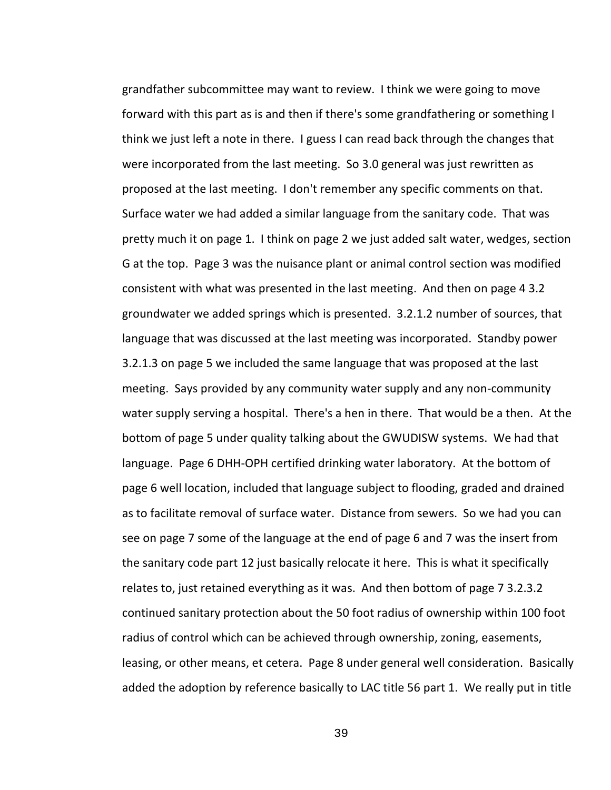grandfather subcommittee may want to review. I think we were going to move forward with this part as is and then if there's some grandfathering or something I think we just left a note in there. I guess I can read back through the changes that were incorporated from the last meeting. So 3.0 general was just rewritten as proposed at the last meeting. I don't remember any specific comments on that. Surface water we had added a similar language from the sanitary code. That was pretty much it on page 1. I think on page 2 we just added salt water, wedges, section G at the top. Page 3 was the nuisance plant or animal control section was modified consistent with what was presented in the last meeting. And then on page 4 3.2 groundwater we added springs which is presented. 3.2.1.2 number of sources, that language that was discussed at the last meeting was incorporated. Standby power 3.2.1.3 on page 5 we included the same language that was proposed at the last meeting. Says provided by any community water supply and any non-community water supply serving a hospital. There's a hen in there. That would be a then. At the bottom of page 5 under quality talking about the GWUDISW systems. We had that language. Page 6 DHH-OPH certified drinking water laboratory. At the bottom of page 6 well location, included that language subject to flooding, graded and drained as to facilitate removal of surface water. Distance from sewers. So we had you can see on page 7 some of the language at the end of page 6 and 7 was the insert from the sanitary code part 12 just basically relocate it here. This is what it specifically relates to, just retained everything as it was. And then bottom of page 7 3.2.3.2 continued sanitary protection about the 50 foot radius of ownership within 100 foot radius of control which can be achieved through ownership, zoning, easements, leasing, or other means, et cetera. Page 8 under general well consideration. Basically added the adoption by reference basically to LAC title 56 part 1. We really put in title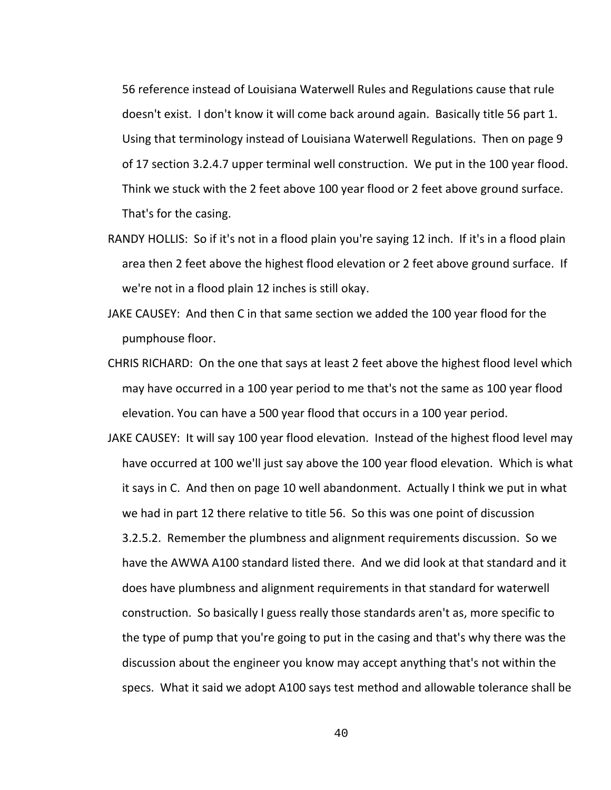56 reference instead of Louisiana Waterwell Rules and Regulations cause that rule doesn't exist. I don't know it will come back around again. Basically title 56 part 1. Using that terminology instead of Louisiana Waterwell Regulations. Then on page 9 of 17 section 3.2.4.7 upper terminal well construction. We put in the 100 year flood. Think we stuck with the 2 feet above 100 year flood or 2 feet above ground surface. That's for the casing.

- RANDY HOLLIS: So if it's not in a flood plain you're saying 12 inch. If it's in a flood plain area then 2 feet above the highest flood elevation or 2 feet above ground surface. If we're not in a flood plain 12 inches is still okay.
- JAKE CAUSEY: And then C in that same section we added the 100 year flood for the pumphouse floor.
- CHRIS RICHARD: On the one that says at least 2 feet above the highest flood level which may have occurred in a 100 year period to me that's not the same as 100 year flood elevation. You can have a 500 year flood that occurs in a 100 year period.
- JAKE CAUSEY: It will say 100 year flood elevation. Instead of the highest flood level may have occurred at 100 we'll just say above the 100 year flood elevation. Which is what it says in C. And then on page 10 well abandonment. Actually I think we put in what we had in part 12 there relative to title 56. So this was one point of discussion 3.2.5.2. Remember the plumbness and alignment requirements discussion. So we have the AWWA A100 standard listed there. And we did look at that standard and it does have plumbness and alignment requirements in that standard for waterwell construction. So basically I guess really those standards aren't as, more specific to the type of pump that you're going to put in the casing and that's why there was the discussion about the engineer you know may accept anything that's not within the specs. What it said we adopt A100 says test method and allowable tolerance shall be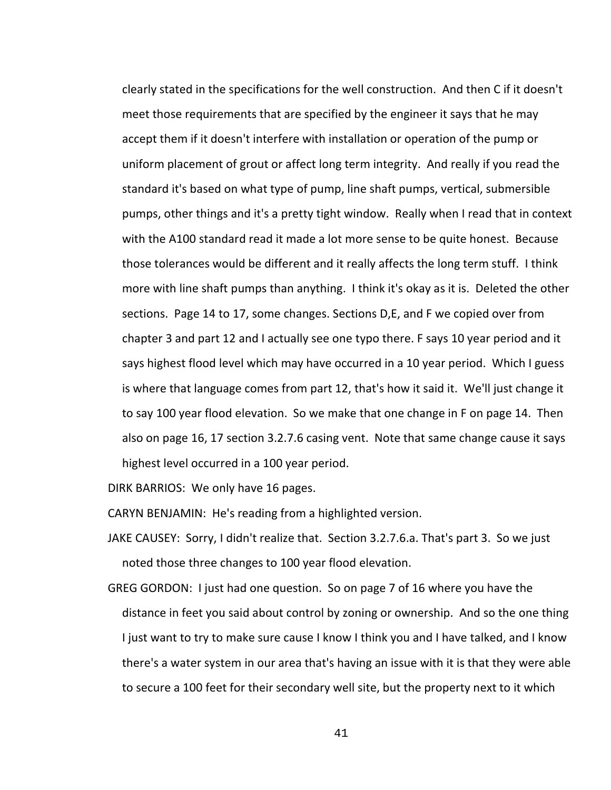clearly stated in the specifications for the well construction. And then C if it doesn't meet those requirements that are specified by the engineer it says that he may accept them if it doesn't interfere with installation or operation of the pump or uniform placement of grout or affect long term integrity. And really if you read the standard it's based on what type of pump, line shaft pumps, vertical, submersible pumps, other things and it's a pretty tight window. Really when I read that in context with the A100 standard read it made a lot more sense to be quite honest. Because those tolerances would be different and it really affects the long term stuff. I think more with line shaft pumps than anything. I think it's okay as it is. Deleted the other sections. Page 14 to 17, some changes. Sections D,E, and F we copied over from chapter 3 and part 12 and I actually see one typo there. F says 10 year period and it says highest flood level which may have occurred in a 10 year period. Which I guess is where that language comes from part 12, that's how it said it. We'll just change it to say 100 year flood elevation. So we make that one change in F on page 14. Then also on page 16, 17 section 3.2.7.6 casing vent. Note that same change cause it says highest level occurred in a 100 year period.

DIRK BARRIOS: We only have 16 pages.

CARYN BENJAMIN: He's reading from a highlighted version.

- JAKE CAUSEY: Sorry, I didn't realize that. Section 3.2.7.6.a. That's part 3. So we just noted those three changes to 100 year flood elevation.
- GREG GORDON: I just had one question. So on page 7 of 16 where you have the distance in feet you said about control by zoning or ownership. And so the one thing I just want to try to make sure cause I know I think you and I have talked, and I know there's a water system in our area that's having an issue with it is that they were able to secure a 100 feet for their secondary well site, but the property next to it which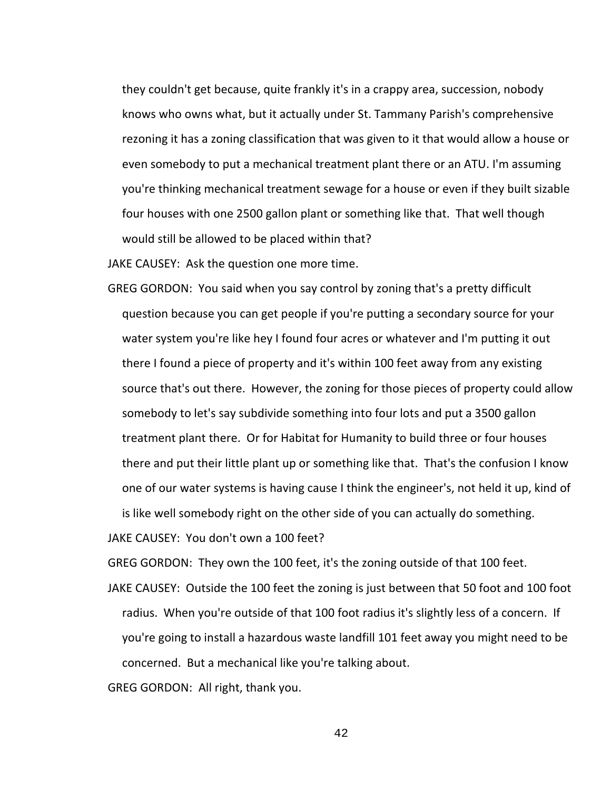they couldn't get because, quite frankly it's in a crappy area, succession, nobody knows who owns what, but it actually under St. Tammany Parish's comprehensive rezoning it has a zoning classification that was given to it that would allow a house or even somebody to put a mechanical treatment plant there or an ATU. I'm assuming you're thinking mechanical treatment sewage for a house or even if they built sizable four houses with one 2500 gallon plant or something like that. That well though would still be allowed to be placed within that?

JAKE CAUSEY: Ask the question one more time.

GREG GORDON: You said when you say control by zoning that's a pretty difficult question because you can get people if you're putting a secondary source for your water system you're like hey I found four acres or whatever and I'm putting it out there I found a piece of property and it's within 100 feet away from any existing source that's out there. However, the zoning for those pieces of property could allow somebody to let's say subdivide something into four lots and put a 3500 gallon treatment plant there. Or for Habitat for Humanity to build three or four houses there and put their little plant up or something like that. That's the confusion I know one of our water systems is having cause I think the engineer's, not held it up, kind of is like well somebody right on the other side of you can actually do something.

JAKE CAUSEY: You don't own a 100 feet?

GREG GORDON: They own the 100 feet, it's the zoning outside of that 100 feet.

JAKE CAUSEY: Outside the 100 feet the zoning is just between that 50 foot and 100 foot radius. When you're outside of that 100 foot radius it's slightly less of a concern. If you're going to install a hazardous waste landfill 101 feet away you might need to be concerned. But a mechanical like you're talking about.

GREG GORDON: All right, thank you.